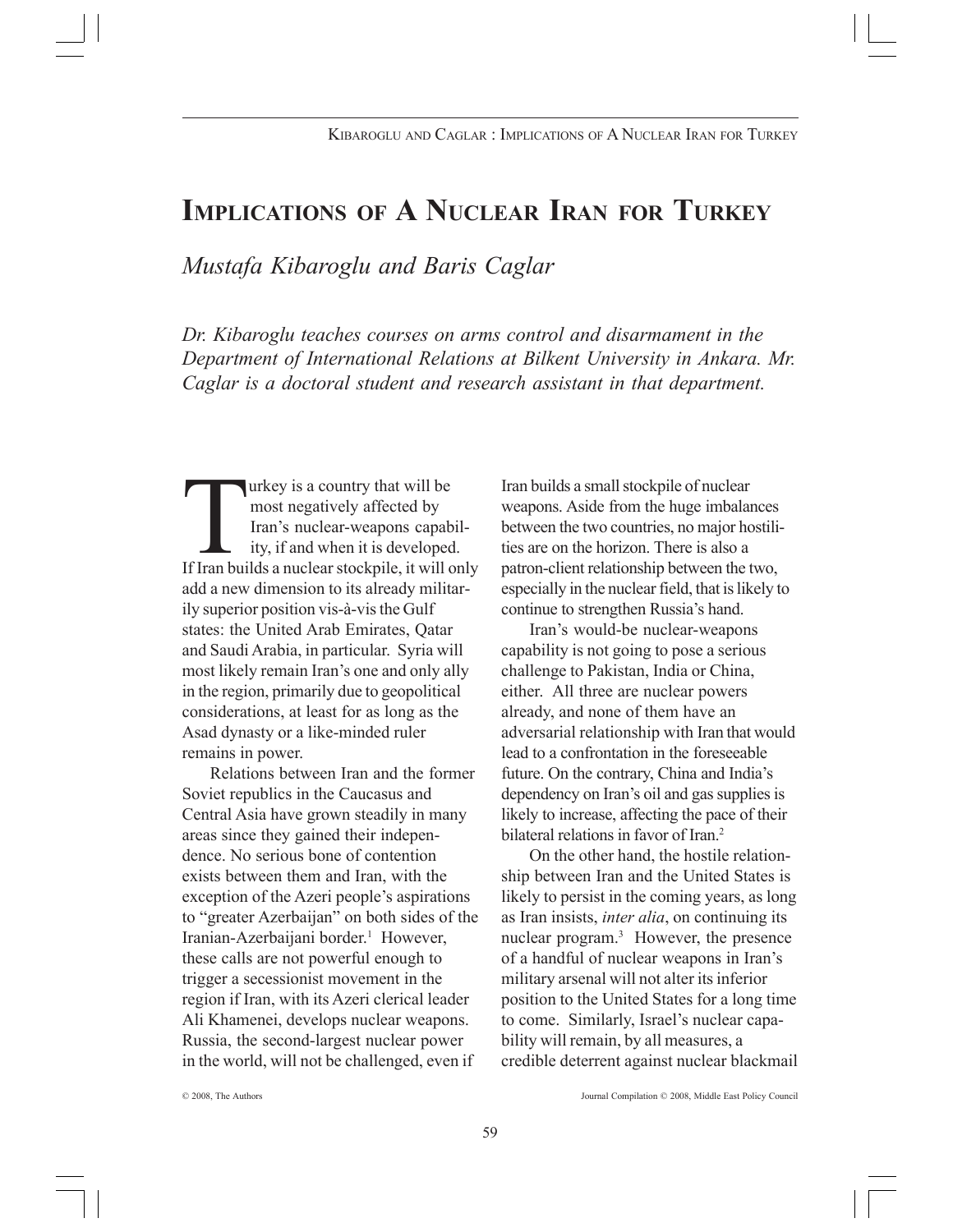# **IMPLICATIONS OF A NUCLEAR IRAN FOR TURKEY**

*Mustafa Kibaroglu and Baris Caglar*

*Dr. Kibaroglu teaches courses on arms control and disarmament in the Department of International Relations at Bilkent University in Ankara. Mr. Caglar is a doctoral student and research assistant in that department.*

Turkey is a country that will be<br>
most negatively affected by<br>
Iran's nuclear-weapons capabil-<br>
ity, if and when it is developed.<br>
If Iran builds a nuclear stockpile, it will only most negatively affected by Iran's nuclear-weapons capability, if and when it is developed. add a new dimension to its already militarily superior position vis-à-vis the Gulf states: the United Arab Emirates, Qatar and Saudi Arabia, in particular. Syria will most likely remain Iran's one and only ally in the region, primarily due to geopolitical considerations, at least for as long as the Asad dynasty or a like-minded ruler remains in power.

Relations between Iran and the former Soviet republics in the Caucasus and Central Asia have grown steadily in many areas since they gained their independence. No serious bone of contention exists between them and Iran, with the exception of the Azeri people's aspirations to "greater Azerbaijan" on both sides of the Iranian-Azerbaijani border.<sup>1</sup> However, these calls are not powerful enough to trigger a secessionist movement in the region if Iran, with its Azeri clerical leader Ali Khamenei, develops nuclear weapons. Russia, the second-largest nuclear power in the world, will not be challenged, even if

Iran builds a small stockpile of nuclear weapons. Aside from the huge imbalances between the two countries, no major hostilities are on the horizon. There is also a patron-client relationship between the two, especially in the nuclear field, that is likely to continue to strengthen Russia's hand.

Iran's would-be nuclear-weapons capability is not going to pose a serious challenge to Pakistan, India or China, either. All three are nuclear powers already, and none of them have an adversarial relationship with Iran that would lead to a confrontation in the foreseeable future. On the contrary, China and India's dependency on Iran's oil and gas supplies is likely to increase, affecting the pace of their bilateral relations in favor of Iran.<sup>2</sup>

On the other hand, the hostile relationship between Iran and the United States is likely to persist in the coming years, as long as Iran insists, *inter alia*, on continuing its nuclear program.<sup>3</sup> However, the presence of a handful of nuclear weapons in Iran's military arsenal will not alter its inferior position to the United States for a long time to come. Similarly, Israel's nuclear capability will remain, by all measures, a credible deterrent against nuclear blackmail

© 2008, The Authors Journal Compilation © 2008, Middle East Policy Council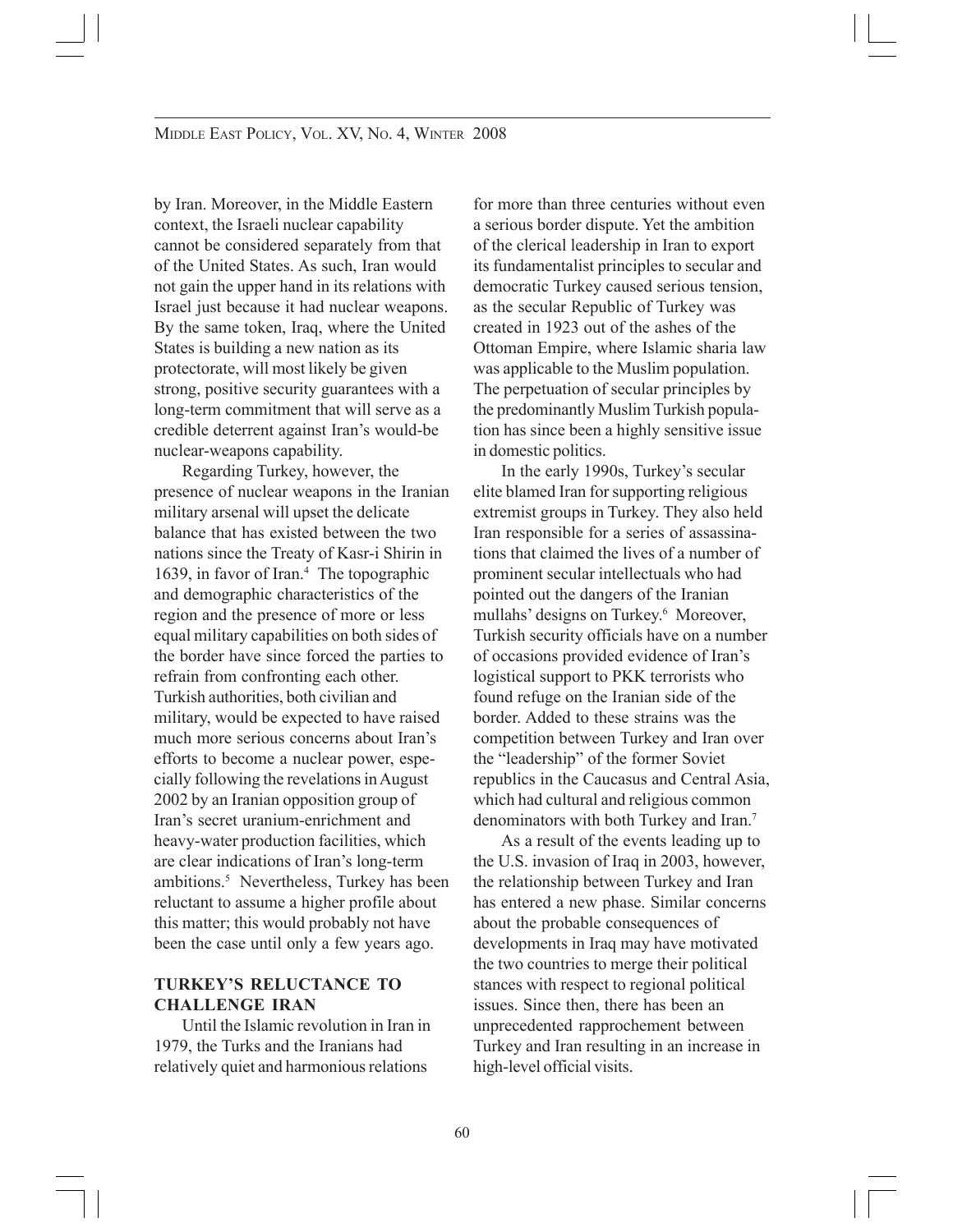by Iran. Moreover, in the Middle Eastern context, the Israeli nuclear capability cannot be considered separately from that of the United States. As such, Iran would not gain the upper hand in its relations with Israel just because it had nuclear weapons. By the same token, Iraq, where the United States is building a new nation as its protectorate, will most likely be given strong, positive security guarantees with a long-term commitment that will serve as a credible deterrent against Iran's would-be nuclear-weapons capability.

Regarding Turkey, however, the presence of nuclear weapons in the Iranian military arsenal will upset the delicate balance that has existed between the two nations since the Treaty of Kasr-i Shirin in 1639, in favor of Iran.<sup>4</sup> The topographic and demographic characteristics of the region and the presence of more or less equal military capabilities on both sides of the border have since forced the parties to refrain from confronting each other. Turkish authorities, both civilian and military, would be expected to have raised much more serious concerns about Iran's efforts to become a nuclear power, especially following the revelations in August 2002 by an Iranian opposition group of Iran's secret uranium-enrichment and heavy-water production facilities, which are clear indications of Iran's long-term ambitions.<sup>5</sup> Nevertheless, Turkey has been reluctant to assume a higher profile about this matter; this would probably not have been the case until only a few years ago.

# **TURKEY'S RELUCTANCE TO CHALLENGE IRAN**

Until the Islamic revolution in Iran in 1979, the Turks and the Iranians had relatively quiet and harmonious relations

for more than three centuries without even a serious border dispute. Yet the ambition of the clerical leadership in Iran to export its fundamentalist principles to secular and democratic Turkey caused serious tension, as the secular Republic of Turkey was created in 1923 out of the ashes of the Ottoman Empire, where Islamic sharia law was applicable to the Muslim population. The perpetuation of secular principles by the predominantly Muslim Turkish population has since been a highly sensitive issue in domestic politics.

In the early 1990s, Turkey's secular elite blamed Iran for supporting religious extremist groups in Turkey. They also held Iran responsible for a series of assassinations that claimed the lives of a number of prominent secular intellectuals who had pointed out the dangers of the Iranian mullahs' designs on Turkey.<sup>6</sup> Moreover, Turkish security officials have on a number of occasions provided evidence of Iran's logistical support to PKK terrorists who found refuge on the Iranian side of the border. Added to these strains was the competition between Turkey and Iran over the "leadership" of the former Soviet republics in the Caucasus and Central Asia, which had cultural and religious common denominators with both Turkey and Iran.7

As a result of the events leading up to the U.S. invasion of Iraq in 2003, however, the relationship between Turkey and Iran has entered a new phase. Similar concerns about the probable consequences of developments in Iraq may have motivated the two countries to merge their political stances with respect to regional political issues. Since then, there has been an unprecedented rapprochement between Turkey and Iran resulting in an increase in high-level official visits.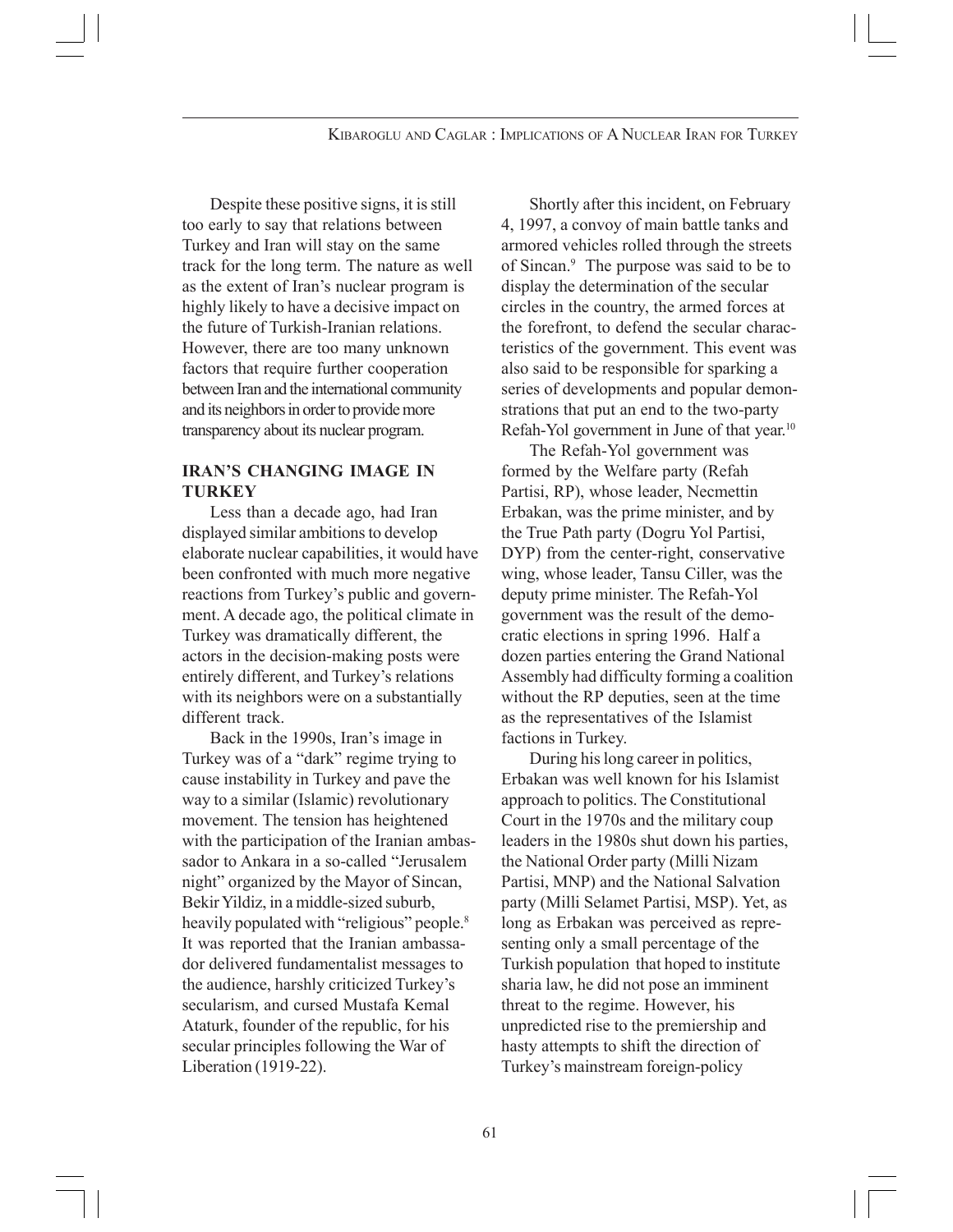KIBAROGLU AND CAGLAR : IMPLICATIONS OF A NUCLEAR IRAN FOR TURKEY

Despite these positive signs, it is still too early to say that relations between Turkey and Iran will stay on the same track for the long term. The nature as well as the extent of Iran's nuclear program is highly likely to have a decisive impact on the future of Turkish-Iranian relations. However, there are too many unknown factors that require further cooperation between Iran and the international community and its neighbors in order to provide more transparency about its nuclear program.

# **IRAN'S CHANGING IMAGE IN TURKEY**

Less than a decade ago, had Iran displayed similar ambitions to develop elaborate nuclear capabilities, it would have been confronted with much more negative reactions from Turkey's public and government. A decade ago, the political climate in Turkey was dramatically different, the actors in the decision-making posts were entirely different, and Turkey's relations with its neighbors were on a substantially different track.

Back in the 1990s, Iran's image in Turkey was of a "dark" regime trying to cause instability in Turkey and pave the way to a similar (Islamic) revolutionary movement. The tension has heightened with the participation of the Iranian ambassador to Ankara in a so-called "Jerusalem night" organized by the Mayor of Sincan, Bekir Yildiz, in a middle-sized suburb, heavily populated with "religious" people.<sup>8</sup> It was reported that the Iranian ambassador delivered fundamentalist messages to the audience, harshly criticized Turkey's secularism, and cursed Mustafa Kemal Ataturk, founder of the republic, for his secular principles following the War of Liberation (1919-22).

Shortly after this incident, on February 4, 1997, a convoy of main battle tanks and armored vehicles rolled through the streets of Sincan.<sup>9</sup> The purpose was said to be to display the determination of the secular circles in the country, the armed forces at the forefront, to defend the secular characteristics of the government. This event was also said to be responsible for sparking a series of developments and popular demonstrations that put an end to the two-party Refah-Yol government in June of that year.<sup>10</sup>

The Refah-Yol government was formed by the Welfare party (Refah Partisi, RP), whose leader, Necmettin Erbakan, was the prime minister, and by the True Path party (Dogru Yol Partisi, DYP) from the center-right, conservative wing, whose leader, Tansu Ciller, was the deputy prime minister. The Refah-Yol government was the result of the democratic elections in spring 1996. Half a dozen parties entering the Grand National Assembly had difficulty forming a coalition without the RP deputies, seen at the time as the representatives of the Islamist factions in Turkey.

During his long career in politics, Erbakan was well known for his Islamist approach to politics. The Constitutional Court in the 1970s and the military coup leaders in the 1980s shut down his parties, the National Order party (Milli Nizam Partisi, MNP) and the National Salvation party (Milli Selamet Partisi, MSP). Yet, as long as Erbakan was perceived as representing only a small percentage of the Turkish population that hoped to institute sharia law, he did not pose an imminent threat to the regime. However, his unpredicted rise to the premiership and hasty attempts to shift the direction of Turkey's mainstream foreign-policy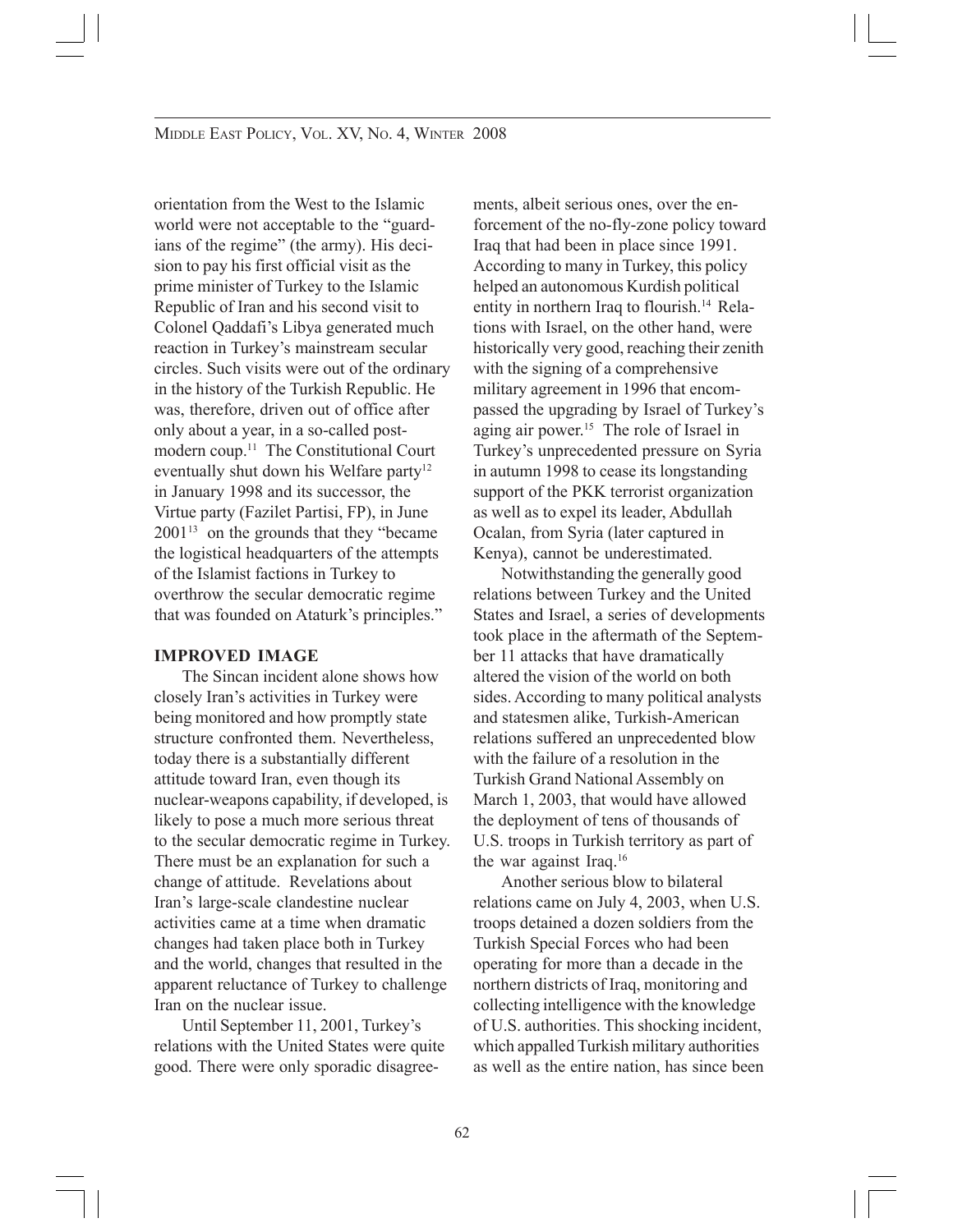orientation from the West to the Islamic world were not acceptable to the "guardians of the regime" (the army). His decision to pay his first official visit as the prime minister of Turkey to the Islamic Republic of Iran and his second visit to Colonel Qaddafi's Libya generated much reaction in Turkey's mainstream secular circles. Such visits were out of the ordinary in the history of the Turkish Republic. He was, therefore, driven out of office after only about a year, in a so-called postmodern coup.<sup>11</sup> The Constitutional Court eventually shut down his Welfare party<sup>12</sup> in January 1998 and its successor, the Virtue party (Fazilet Partisi, FP), in June  $2001<sup>13</sup>$  on the grounds that they "became" the logistical headquarters of the attempts of the Islamist factions in Turkey to overthrow the secular democratic regime that was founded on Ataturk's principles."

## **IMPROVED IMAGE**

The Sincan incident alone shows how closely Iran's activities in Turkey were being monitored and how promptly state structure confronted them. Nevertheless, today there is a substantially different attitude toward Iran, even though its nuclear-weapons capability, if developed, is likely to pose a much more serious threat to the secular democratic regime in Turkey. There must be an explanation for such a change of attitude. Revelations about Iran's large-scale clandestine nuclear activities came at a time when dramatic changes had taken place both in Turkey and the world, changes that resulted in the apparent reluctance of Turkey to challenge Iran on the nuclear issue.

Until September 11, 2001, Turkey's relations with the United States were quite good. There were only sporadic disagreements, albeit serious ones, over the enforcement of the no-fly-zone policy toward Iraq that had been in place since 1991. According to many in Turkey, this policy helped an autonomous Kurdish political entity in northern Iraq to flourish.<sup>14</sup> Relations with Israel, on the other hand, were historically very good, reaching their zenith with the signing of a comprehensive military agreement in 1996 that encompassed the upgrading by Israel of Turkey's aging air power.15 The role of Israel in Turkey's unprecedented pressure on Syria in autumn 1998 to cease its longstanding support of the PKK terrorist organization as well as to expel its leader, Abdullah Ocalan, from Syria (later captured in Kenya), cannot be underestimated.

Notwithstanding the generally good relations between Turkey and the United States and Israel, a series of developments took place in the aftermath of the September 11 attacks that have dramatically altered the vision of the world on both sides. According to many political analysts and statesmen alike, Turkish-American relations suffered an unprecedented blow with the failure of a resolution in the Turkish Grand National Assembly on March 1, 2003, that would have allowed the deployment of tens of thousands of U.S. troops in Turkish territory as part of the war against Iraq.16

Another serious blow to bilateral relations came on July 4, 2003, when U.S. troops detained a dozen soldiers from the Turkish Special Forces who had been operating for more than a decade in the northern districts of Iraq, monitoring and collecting intelligence with the knowledge of U.S. authorities. This shocking incident, which appalled Turkish military authorities as well as the entire nation, has since been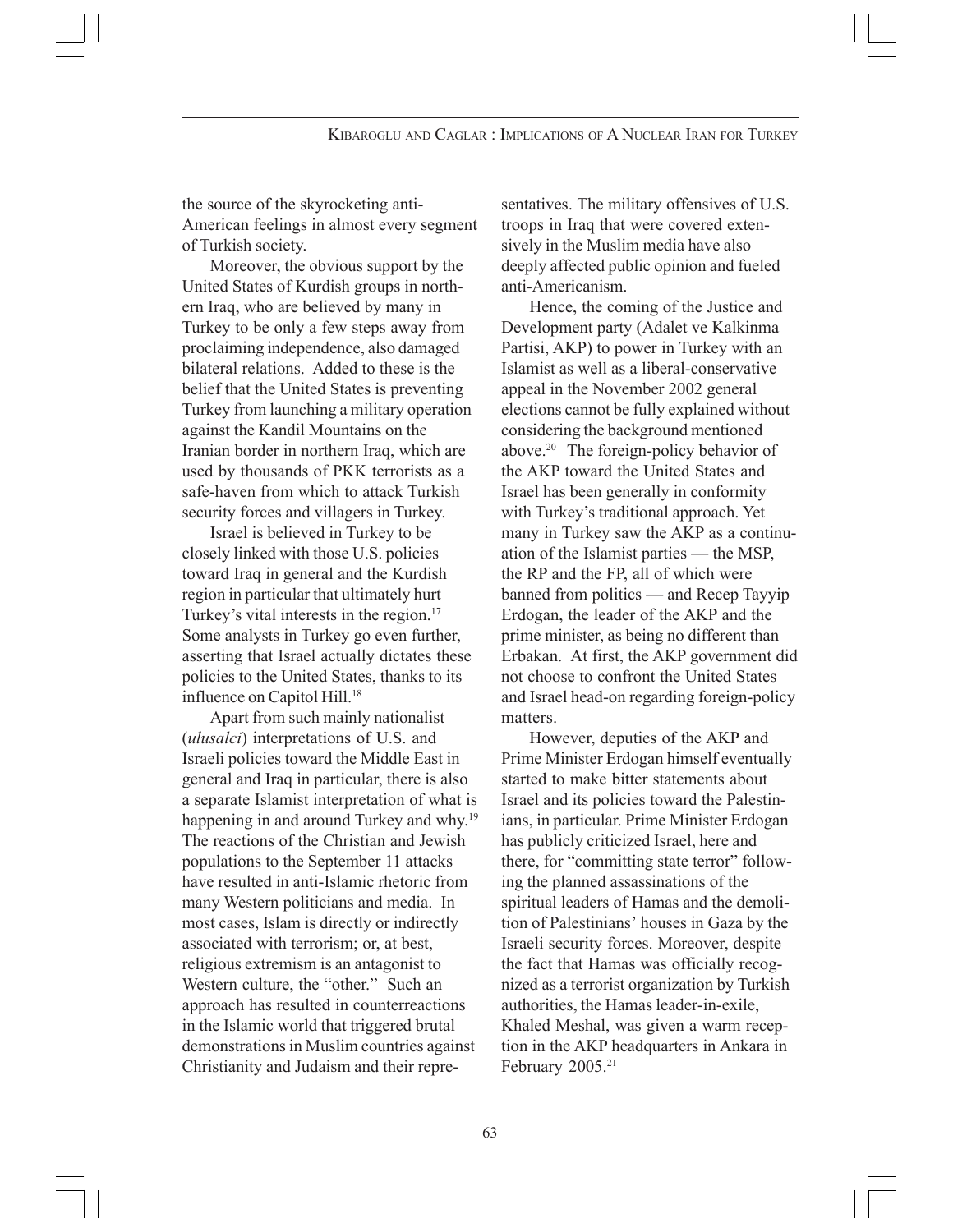the source of the skyrocketing anti-American feelings in almost every segment of Turkish society.

Moreover, the obvious support by the United States of Kurdish groups in northern Iraq, who are believed by many in Turkey to be only a few steps away from proclaiming independence, also damaged bilateral relations. Added to these is the belief that the United States is preventing Turkey from launching a military operation against the Kandil Mountains on the Iranian border in northern Iraq, which are used by thousands of PKK terrorists as a safe-haven from which to attack Turkish security forces and villagers in Turkey.

Israel is believed in Turkey to be closely linked with those U.S. policies toward Iraq in general and the Kurdish region in particular that ultimately hurt Turkey's vital interests in the region.<sup>17</sup> Some analysts in Turkey go even further, asserting that Israel actually dictates these policies to the United States, thanks to its influence on Capitol Hill.<sup>18</sup>

Apart from such mainly nationalist (*ulusalci*) interpretations of U.S. and Israeli policies toward the Middle East in general and Iraq in particular, there is also a separate Islamist interpretation of what is happening in and around Turkey and why.<sup>19</sup> The reactions of the Christian and Jewish populations to the September 11 attacks have resulted in anti-Islamic rhetoric from many Western politicians and media. In most cases, Islam is directly or indirectly associated with terrorism; or, at best, religious extremism is an antagonist to Western culture, the "other." Such an approach has resulted in counterreactions in the Islamic world that triggered brutal demonstrations in Muslim countries against Christianity and Judaism and their repre-

sentatives. The military offensives of U.S. troops in Iraq that were covered extensively in the Muslim media have also deeply affected public opinion and fueled anti-Americanism.

Hence, the coming of the Justice and Development party (Adalet ve Kalkinma Partisi, AKP) to power in Turkey with an Islamist as well as a liberal-conservative appeal in the November 2002 general elections cannot be fully explained without considering the background mentioned above.20 The foreign-policy behavior of the AKP toward the United States and Israel has been generally in conformity with Turkey's traditional approach. Yet many in Turkey saw the AKP as a continuation of the Islamist parties — the MSP, the RP and the FP, all of which were banned from politics — and Recep Tayyip Erdogan, the leader of the AKP and the prime minister, as being no different than Erbakan. At first, the AKP government did not choose to confront the United States and Israel head-on regarding foreign-policy matters.

However, deputies of the AKP and Prime Minister Erdogan himself eventually started to make bitter statements about Israel and its policies toward the Palestinians, in particular. Prime Minister Erdogan has publicly criticized Israel, here and there, for "committing state terror" following the planned assassinations of the spiritual leaders of Hamas and the demolition of Palestinians' houses in Gaza by the Israeli security forces. Moreover, despite the fact that Hamas was officially recognized as a terrorist organization by Turkish authorities, the Hamas leader-in-exile, Khaled Meshal, was given a warm reception in the AKP headquarters in Ankara in February 2005.<sup>21</sup>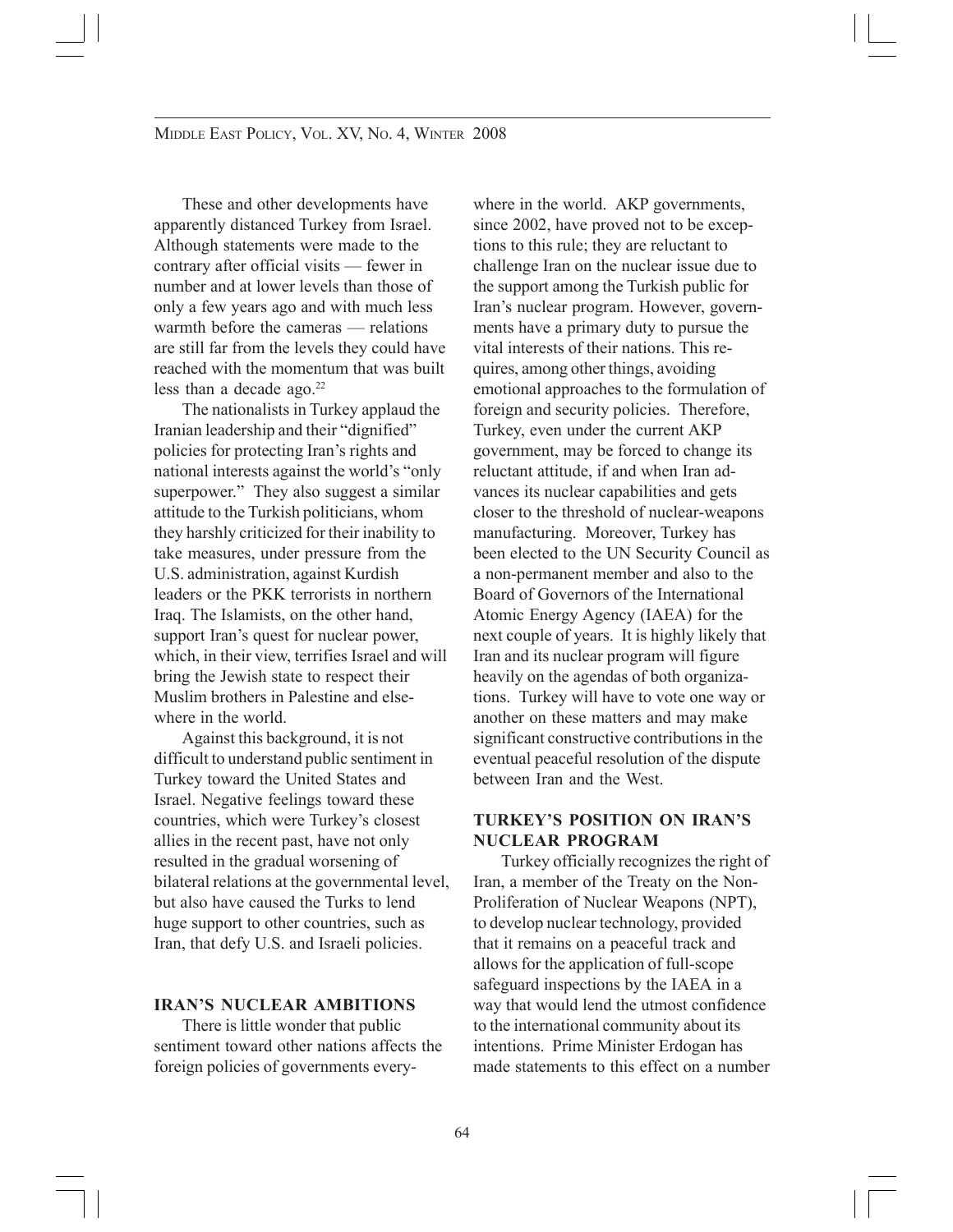These and other developments have apparently distanced Turkey from Israel. Although statements were made to the contrary after official visits — fewer in number and at lower levels than those of only a few years ago and with much less warmth before the cameras — relations are still far from the levels they could have reached with the momentum that was built less than a decade ago.<sup>22</sup>

The nationalists in Turkey applaud the Iranian leadership and their "dignified" policies for protecting Iran's rights and national interests against the world's "only superpower." They also suggest a similar attitude to the Turkish politicians, whom they harshly criticized for their inability to take measures, under pressure from the U.S. administration, against Kurdish leaders or the PKK terrorists in northern Iraq. The Islamists, on the other hand, support Iran's quest for nuclear power, which, in their view, terrifies Israel and will bring the Jewish state to respect their Muslim brothers in Palestine and elsewhere in the world.

Against this background, it is not difficult to understand public sentiment in Turkey toward the United States and Israel. Negative feelings toward these countries, which were Turkey's closest allies in the recent past, have not only resulted in the gradual worsening of bilateral relations at the governmental level, but also have caused the Turks to lend huge support to other countries, such as Iran, that defy U.S. and Israeli policies.

## **IRAN'S NUCLEAR AMBITIONS**

There is little wonder that public sentiment toward other nations affects the foreign policies of governments everywhere in the world. AKP governments, since 2002, have proved not to be exceptions to this rule; they are reluctant to challenge Iran on the nuclear issue due to the support among the Turkish public for Iran's nuclear program. However, governments have a primary duty to pursue the vital interests of their nations. This requires, among other things, avoiding emotional approaches to the formulation of foreign and security policies. Therefore, Turkey, even under the current AKP government, may be forced to change its reluctant attitude, if and when Iran advances its nuclear capabilities and gets closer to the threshold of nuclear-weapons manufacturing. Moreover, Turkey has been elected to the UN Security Council as a non-permanent member and also to the Board of Governors of the International Atomic Energy Agency (IAEA) for the next couple of years. It is highly likely that Iran and its nuclear program will figure heavily on the agendas of both organizations. Turkey will have to vote one way or another on these matters and may make significant constructive contributions in the eventual peaceful resolution of the dispute between Iran and the West.

# **TURKEY'S POSITION ON IRAN'S NUCLEAR PROGRAM**

Turkey officially recognizes the right of Iran, a member of the Treaty on the Non-Proliferation of Nuclear Weapons (NPT), to develop nuclear technology, provided that it remains on a peaceful track and allows for the application of full-scope safeguard inspections by the IAEA in a way that would lend the utmost confidence to the international community about its intentions. Prime Minister Erdogan has made statements to this effect on a number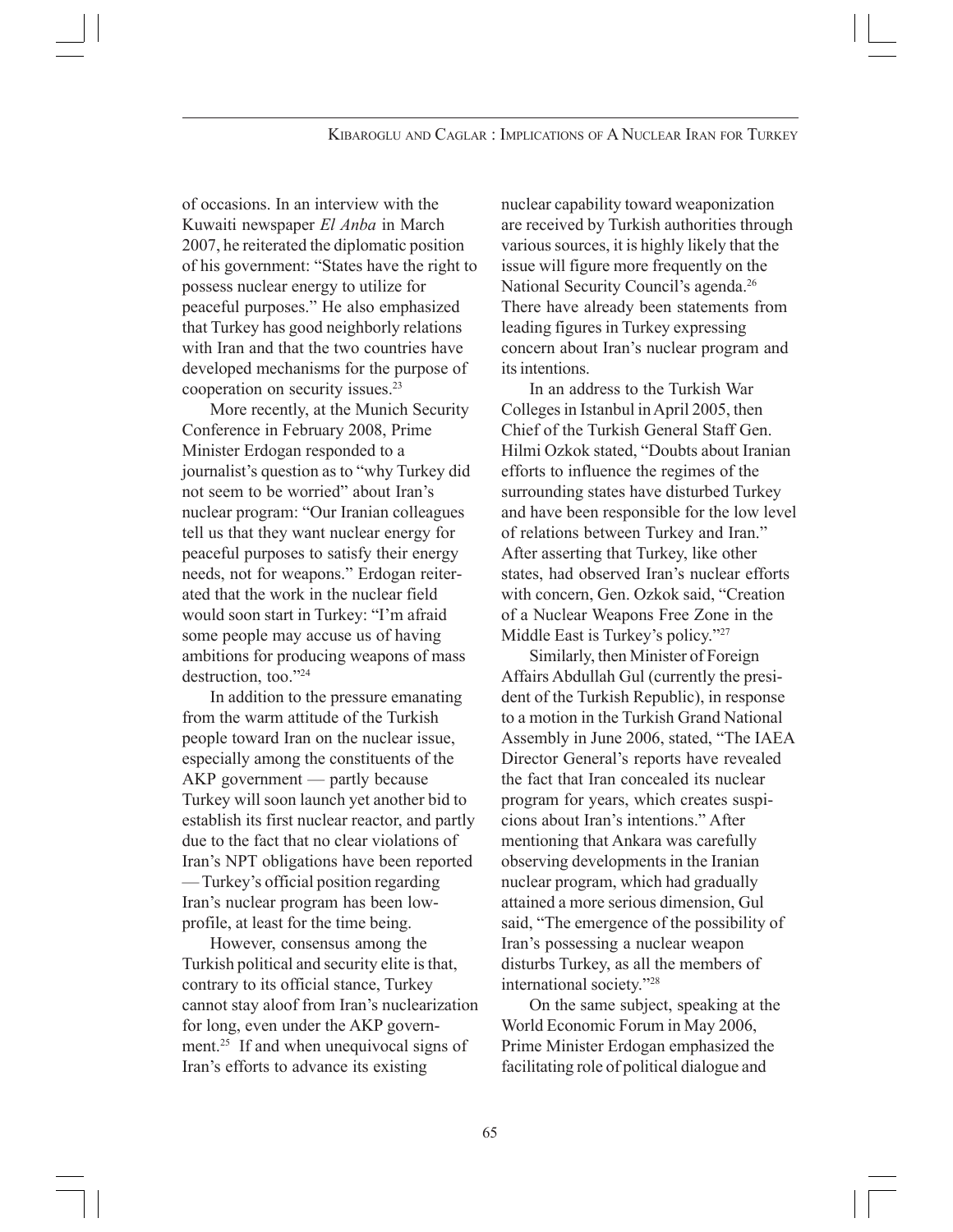of occasions. In an interview with the Kuwaiti newspaper *El Anba* in March 2007, he reiterated the diplomatic position of his government: "States have the right to possess nuclear energy to utilize for peaceful purposes." He also emphasized that Turkey has good neighborly relations with Iran and that the two countries have developed mechanisms for the purpose of cooperation on security issues.23

More recently, at the Munich Security Conference in February 2008, Prime Minister Erdogan responded to a journalist's question as to "why Turkey did not seem to be worried" about Iran's nuclear program: "Our Iranian colleagues tell us that they want nuclear energy for peaceful purposes to satisfy their energy needs, not for weapons." Erdogan reiterated that the work in the nuclear field would soon start in Turkey: "I'm afraid some people may accuse us of having ambitions for producing weapons of mass destruction, too."24

In addition to the pressure emanating from the warm attitude of the Turkish people toward Iran on the nuclear issue, especially among the constituents of the AKP government — partly because Turkey will soon launch yet another bid to establish its first nuclear reactor, and partly due to the fact that no clear violations of Iran's NPT obligations have been reported — Turkey's official position regarding Iran's nuclear program has been lowprofile, at least for the time being.

However, consensus among the Turkish political and security elite is that, contrary to its official stance, Turkey cannot stay aloof from Iran's nuclearization for long, even under the AKP government.<sup>25</sup> If and when unequivocal signs of Iran's efforts to advance its existing

nuclear capability toward weaponization are received by Turkish authorities through various sources, it is highly likely that the issue will figure more frequently on the National Security Council's agenda.26 There have already been statements from leading figures in Turkey expressing concern about Iran's nuclear program and its intentions.

In an address to the Turkish War Colleges in Istanbul in April 2005, then Chief of the Turkish General Staff Gen. Hilmi Ozkok stated, "Doubts about Iranian efforts to influence the regimes of the surrounding states have disturbed Turkey and have been responsible for the low level of relations between Turkey and Iran." After asserting that Turkey, like other states, had observed Iran's nuclear efforts with concern, Gen. Ozkok said, "Creation of a Nuclear Weapons Free Zone in the Middle East is Turkey's policy."<sup>27</sup>

Similarly, then Minister of Foreign Affairs Abdullah Gul (currently the president of the Turkish Republic), in response to a motion in the Turkish Grand National Assembly in June 2006, stated, "The IAEA Director General's reports have revealed the fact that Iran concealed its nuclear program for years, which creates suspicions about Iran's intentions." After mentioning that Ankara was carefully observing developments in the Iranian nuclear program, which had gradually attained a more serious dimension, Gul said, "The emergence of the possibility of Iran's possessing a nuclear weapon disturbs Turkey, as all the members of international society."28

On the same subject, speaking at the World Economic Forum in May 2006, Prime Minister Erdogan emphasized the facilitating role of political dialogue and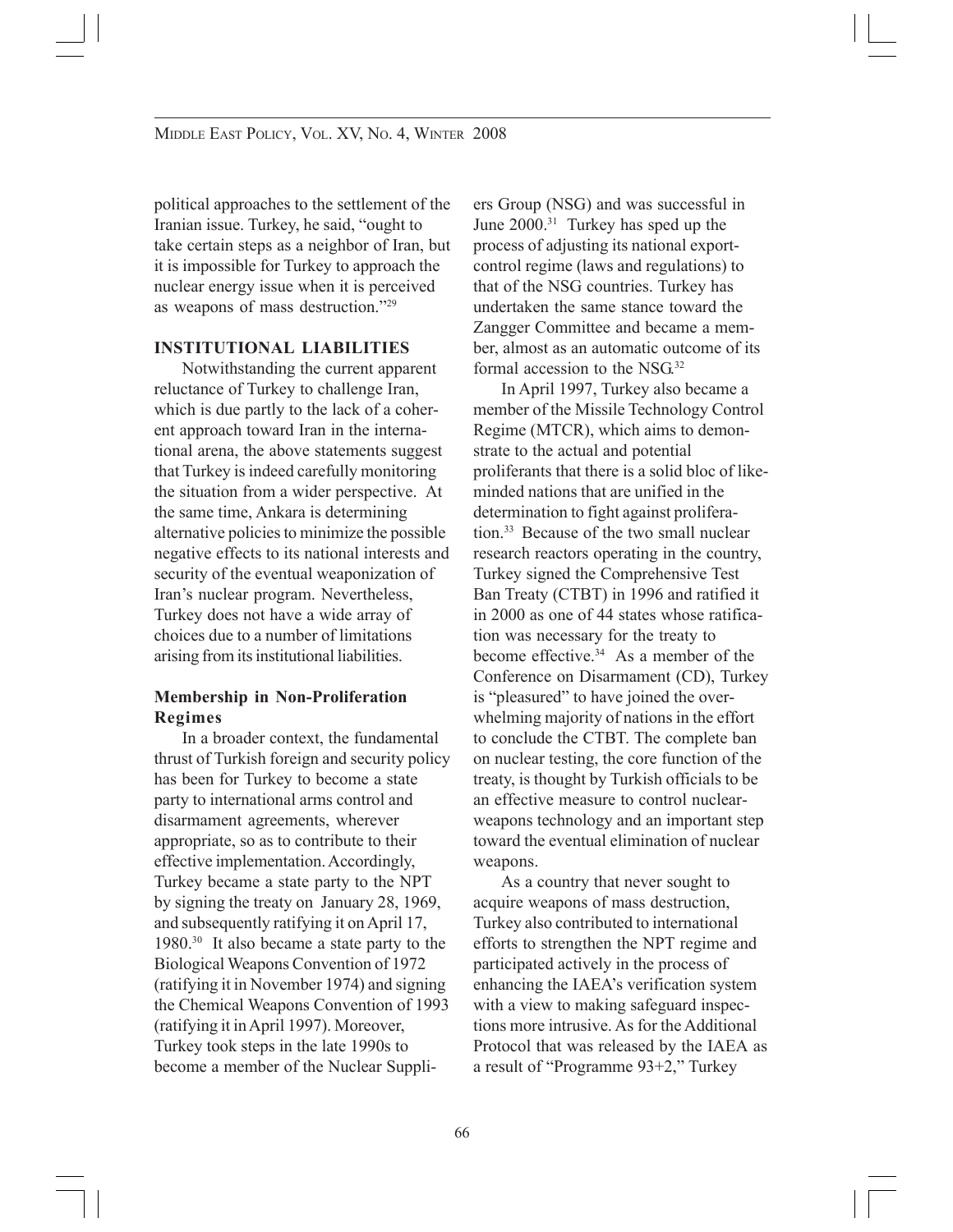political approaches to the settlement of the Iranian issue. Turkey, he said, "ought to take certain steps as a neighbor of Iran, but it is impossible for Turkey to approach the nuclear energy issue when it is perceived as weapons of mass destruction."29

#### **INSTITUTIONAL LIABILITIES**

Notwithstanding the current apparent reluctance of Turkey to challenge Iran, which is due partly to the lack of a coherent approach toward Iran in the international arena, the above statements suggest that Turkey is indeed carefully monitoring the situation from a wider perspective. At the same time, Ankara is determining alternative policies to minimize the possible negative effects to its national interests and security of the eventual weaponization of Iran's nuclear program. Nevertheless, Turkey does not have a wide array of choices due to a number of limitations arising from its institutional liabilities.

# **Membership in Non-Proliferation Regimes**

In a broader context, the fundamental thrust of Turkish foreign and security policy has been for Turkey to become a state party to international arms control and disarmament agreements, wherever appropriate, so as to contribute to their effective implementation. Accordingly, Turkey became a state party to the NPT by signing the treaty on January 28, 1969, and subsequently ratifying it on April 17, 1980.<sup>30</sup> It also became a state party to the Biological Weapons Convention of 1972 (ratifying it in November 1974) and signing the Chemical Weapons Convention of 1993 (ratifying it in April 1997). Moreover, Turkey took steps in the late 1990s to become a member of the Nuclear Suppliers Group (NSG) and was successful in June 2000.31 Turkey has sped up the process of adjusting its national exportcontrol regime (laws and regulations) to that of the NSG countries. Turkey has undertaken the same stance toward the Zangger Committee and became a member, almost as an automatic outcome of its formal accession to the NSG.32

In April 1997, Turkey also became a member of the Missile Technology Control Regime (MTCR), which aims to demonstrate to the actual and potential proliferants that there is a solid bloc of likeminded nations that are unified in the determination to fight against proliferation.33 Because of the two small nuclear research reactors operating in the country, Turkey signed the Comprehensive Test Ban Treaty (CTBT) in 1996 and ratified it in 2000 as one of 44 states whose ratification was necessary for the treaty to become effective.34 As a member of the Conference on Disarmament (CD), Turkey is "pleasured" to have joined the overwhelming majority of nations in the effort to conclude the CTBT. The complete ban on nuclear testing, the core function of the treaty, is thought by Turkish officials to be an effective measure to control nuclearweapons technology and an important step toward the eventual elimination of nuclear weapons.

As a country that never sought to acquire weapons of mass destruction, Turkey also contributed to international efforts to strengthen the NPT regime and participated actively in the process of enhancing the IAEA's verification system with a view to making safeguard inspections more intrusive. As for the Additional Protocol that was released by the IAEA as a result of "Programme 93+2," Turkey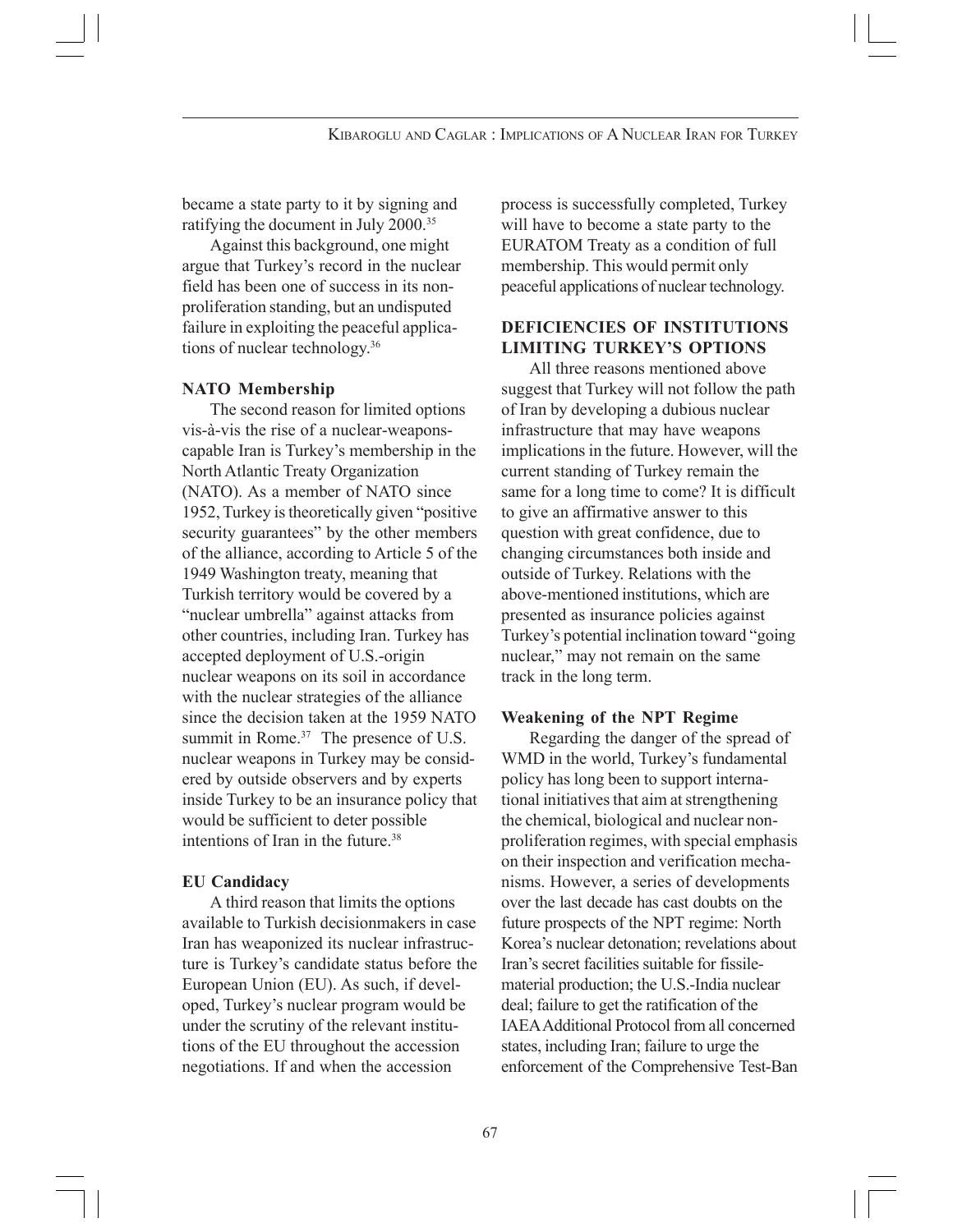became a state party to it by signing and ratifying the document in July 2000.35

Against this background, one might argue that Turkey's record in the nuclear field has been one of success in its nonproliferation standing, but an undisputed failure in exploiting the peaceful applications of nuclear technology.36

## **NATO Membership**

The second reason for limited options vis-à-vis the rise of a nuclear-weaponscapable Iran is Turkey's membership in the North Atlantic Treaty Organization (NATO). As a member of NATO since 1952, Turkey is theoretically given "positive security guarantees" by the other members of the alliance, according to Article 5 of the 1949 Washington treaty, meaning that Turkish territory would be covered by a "nuclear umbrella" against attacks from other countries, including Iran. Turkey has accepted deployment of U.S.-origin nuclear weapons on its soil in accordance with the nuclear strategies of the alliance since the decision taken at the 1959 NATO summit in Rome.<sup>37</sup> The presence of U.S. nuclear weapons in Turkey may be considered by outside observers and by experts inside Turkey to be an insurance policy that would be sufficient to deter possible intentions of Iran in the future.<sup>38</sup>

# **EU Candidacy**

A third reason that limits the options available to Turkish decisionmakers in case Iran has weaponized its nuclear infrastructure is Turkey's candidate status before the European Union (EU). As such, if developed, Turkey's nuclear program would be under the scrutiny of the relevant institutions of the EU throughout the accession negotiations. If and when the accession

process is successfully completed, Turkey will have to become a state party to the EURATOM Treaty as a condition of full membership. This would permit only peaceful applications of nuclear technology.

# **DEFICIENCIES OF INSTITUTIONS LIMITING TURKEY'S OPTIONS**

All three reasons mentioned above suggest that Turkey will not follow the path of Iran by developing a dubious nuclear infrastructure that may have weapons implications in the future. However, will the current standing of Turkey remain the same for a long time to come? It is difficult to give an affirmative answer to this question with great confidence, due to changing circumstances both inside and outside of Turkey. Relations with the above-mentioned institutions, which are presented as insurance policies against Turkey's potential inclination toward "going nuclear," may not remain on the same track in the long term.

## **Weakening of the NPT Regime**

Regarding the danger of the spread of WMD in the world, Turkey's fundamental policy has long been to support international initiatives that aim at strengthening the chemical, biological and nuclear nonproliferation regimes, with special emphasis on their inspection and verification mechanisms. However, a series of developments over the last decade has cast doubts on the future prospects of the NPT regime: North Korea's nuclear detonation; revelations about Iran's secret facilities suitable for fissilematerial production; the U.S.-India nuclear deal; failure to get the ratification of the IAEA Additional Protocol from all concerned states, including Iran; failure to urge the enforcement of the Comprehensive Test-Ban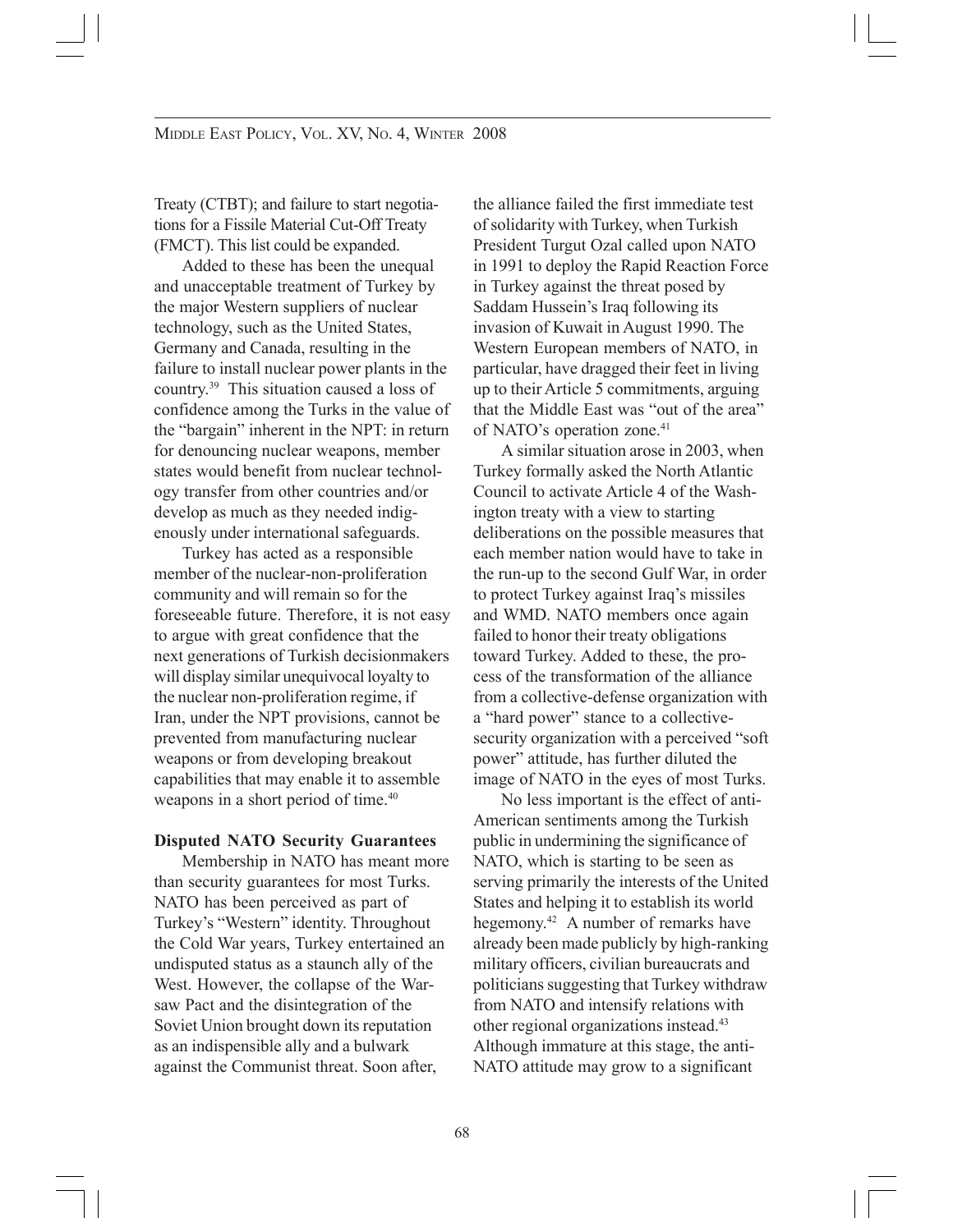Treaty (CTBT); and failure to start negotiations for a Fissile Material Cut-Off Treaty (FMCT). This list could be expanded.

Added to these has been the unequal and unacceptable treatment of Turkey by the major Western suppliers of nuclear technology, such as the United States, Germany and Canada, resulting in the failure to install nuclear power plants in the country.39 This situation caused a loss of confidence among the Turks in the value of the "bargain" inherent in the NPT: in return for denouncing nuclear weapons, member states would benefit from nuclear technology transfer from other countries and/or develop as much as they needed indigenously under international safeguards.

Turkey has acted as a responsible member of the nuclear-non-proliferation community and will remain so for the foreseeable future. Therefore, it is not easy to argue with great confidence that the next generations of Turkish decisionmakers will display similar unequivocal loyalty to the nuclear non-proliferation regime, if Iran, under the NPT provisions, cannot be prevented from manufacturing nuclear weapons or from developing breakout capabilities that may enable it to assemble weapons in a short period of time.<sup>40</sup>

#### **Disputed NATO Security Guarantees**

Membership in NATO has meant more than security guarantees for most Turks. NATO has been perceived as part of Turkey's "Western" identity. Throughout the Cold War years, Turkey entertained an undisputed status as a staunch ally of the West. However, the collapse of the Warsaw Pact and the disintegration of the Soviet Union brought down its reputation as an indispensible ally and a bulwark against the Communist threat. Soon after,

the alliance failed the first immediate test of solidarity with Turkey, when Turkish President Turgut Ozal called upon NATO in 1991 to deploy the Rapid Reaction Force in Turkey against the threat posed by Saddam Hussein's Iraq following its invasion of Kuwait in August 1990. The Western European members of NATO, in particular, have dragged their feet in living up to their Article 5 commitments, arguing that the Middle East was "out of the area" of NATO's operation zone.<sup>41</sup>

A similar situation arose in 2003, when Turkey formally asked the North Atlantic Council to activate Article 4 of the Washington treaty with a view to starting deliberations on the possible measures that each member nation would have to take in the run-up to the second Gulf War, in order to protect Turkey against Iraq's missiles and WMD. NATO members once again failed to honor their treaty obligations toward Turkey. Added to these, the process of the transformation of the alliance from a collective-defense organization with a "hard power" stance to a collectivesecurity organization with a perceived "soft power" attitude, has further diluted the image of NATO in the eyes of most Turks.

No less important is the effect of anti-American sentiments among the Turkish public in undermining the significance of NATO, which is starting to be seen as serving primarily the interests of the United States and helping it to establish its world hegemony.42 A number of remarks have already been made publicly by high-ranking military officers, civilian bureaucrats and politicians suggesting that Turkey withdraw from NATO and intensify relations with other regional organizations instead.43 Although immature at this stage, the anti-NATO attitude may grow to a significant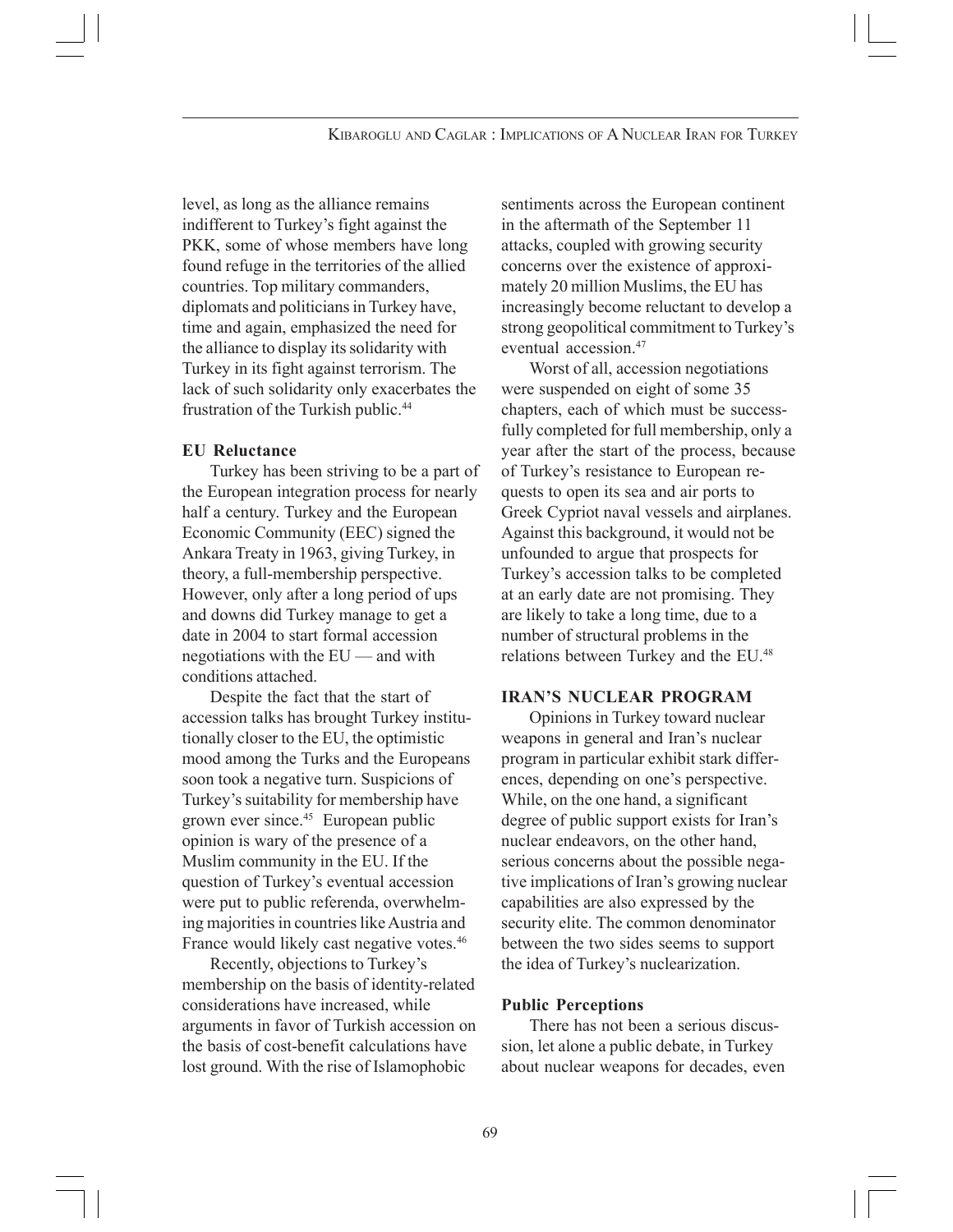level, as long as the alliance remains indifferent to Turkey's fight against the PKK, some of whose members have long found refuge in the territories of the allied countries. Top military commanders, diplomats and politicians in Turkey have, time and again, emphasized the need for the alliance to display its solidarity with Turkey in its fight against terrorism. The lack of such solidarity only exacerbates the frustration of the Turkish public.<sup>44</sup>

#### **EU Reluctance**

Turkey has been striving to be a part of the European integration process for nearly half a century. Turkey and the European Economic Community (EEC) signed the Ankara Treaty in 1963, giving Turkey, in theory, a full-membership perspective. However, only after a long period of ups and downs did Turkey manage to get a date in 2004 to start formal accession negotiations with the EU — and with conditions attached.

Despite the fact that the start of accession talks has brought Turkey institutionally closer to the EU, the optimistic mood among the Turks and the Europeans soon took a negative turn. Suspicions of Turkey's suitability for membership have grown ever since.45 European public opinion is wary of the presence of a Muslim community in the EU. If the question of Turkey's eventual accession were put to public referenda, overwhelming majorities in countries like Austria and France would likely cast negative votes.<sup>46</sup>

Recently, objections to Turkey's membership on the basis of identity-related considerations have increased, while arguments in favor of Turkish accession on the basis of cost-benefit calculations have lost ground. With the rise of Islamophobic

sentiments across the European continent in the aftermath of the September 11 attacks, coupled with growing security concerns over the existence of approximately 20 million Muslims, the EU has increasingly become reluctant to develop a strong geopolitical commitment to Turkey's eventual accession.<sup>47</sup>

Worst of all, accession negotiations were suspended on eight of some 35 chapters, each of which must be successfully completed for full membership, only a year after the start of the process, because of Turkey's resistance to European requests to open its sea and air ports to Greek Cypriot naval vessels and airplanes. Against this background, it would not be unfounded to argue that prospects for Turkey's accession talks to be completed at an early date are not promising. They are likely to take a long time, due to a number of structural problems in the relations between Turkey and the EU.<sup>48</sup>

# **IRAN'S NUCLEAR PROGRAM**

Opinions in Turkey toward nuclear weapons in general and Iran's nuclear program in particular exhibit stark differences, depending on one's perspective. While, on the one hand, a significant degree of public support exists for Iran's nuclear endeavors, on the other hand, serious concerns about the possible negative implications of Iran's growing nuclear capabilities are also expressed by the security elite. The common denominator between the two sides seems to support the idea of Turkey's nuclearization.

## **Public Perceptions**

There has not been a serious discussion, let alone a public debate, in Turkey about nuclear weapons for decades, even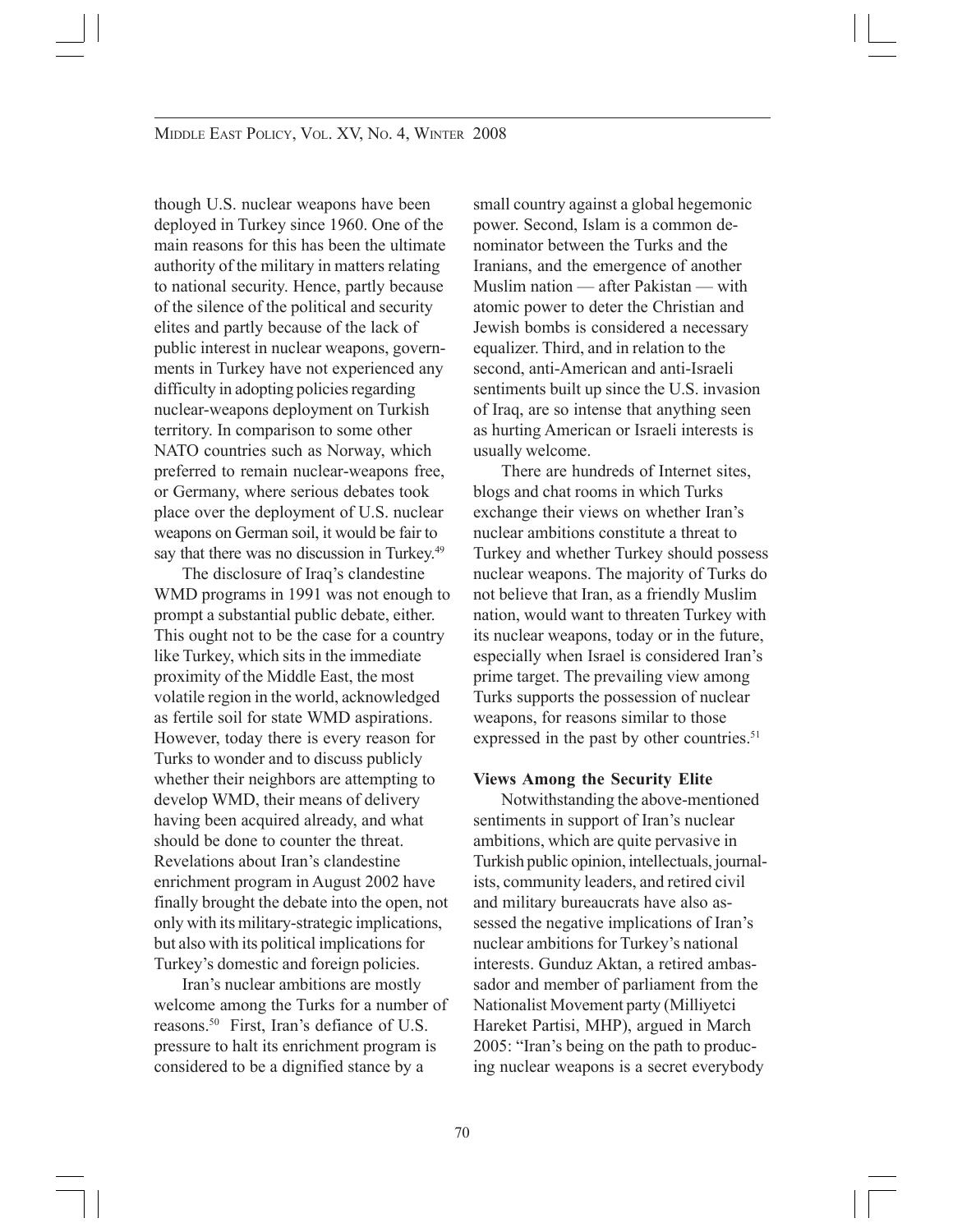though U.S. nuclear weapons have been deployed in Turkey since 1960. One of the main reasons for this has been the ultimate authority of the military in matters relating to national security. Hence, partly because of the silence of the political and security elites and partly because of the lack of public interest in nuclear weapons, governments in Turkey have not experienced any difficulty in adopting policies regarding nuclear-weapons deployment on Turkish territory. In comparison to some other NATO countries such as Norway, which preferred to remain nuclear-weapons free, or Germany, where serious debates took place over the deployment of U.S. nuclear weapons on German soil, it would be fair to say that there was no discussion in Turkey.<sup>49</sup>

The disclosure of Iraq's clandestine WMD programs in 1991 was not enough to prompt a substantial public debate, either. This ought not to be the case for a country like Turkey, which sits in the immediate proximity of the Middle East, the most volatile region in the world, acknowledged as fertile soil for state WMD aspirations. However, today there is every reason for Turks to wonder and to discuss publicly whether their neighbors are attempting to develop WMD, their means of delivery having been acquired already, and what should be done to counter the threat. Revelations about Iran's clandestine enrichment program in August 2002 have finally brought the debate into the open, not only with its military-strategic implications, but also with its political implications for Turkey's domestic and foreign policies.

Iran's nuclear ambitions are mostly welcome among the Turks for a number of reasons.50 First, Iran's defiance of U.S. pressure to halt its enrichment program is considered to be a dignified stance by a

small country against a global hegemonic power. Second, Islam is a common denominator between the Turks and the Iranians, and the emergence of another Muslim nation — after Pakistan — with atomic power to deter the Christian and Jewish bombs is considered a necessary equalizer. Third, and in relation to the second, anti-American and anti-Israeli sentiments built up since the U.S. invasion of Iraq, are so intense that anything seen as hurting American or Israeli interests is usually welcome.

There are hundreds of Internet sites, blogs and chat rooms in which Turks exchange their views on whether Iran's nuclear ambitions constitute a threat to Turkey and whether Turkey should possess nuclear weapons. The majority of Turks do not believe that Iran, as a friendly Muslim nation, would want to threaten Turkey with its nuclear weapons, today or in the future, especially when Israel is considered Iran's prime target. The prevailing view among Turks supports the possession of nuclear weapons, for reasons similar to those expressed in the past by other countries.<sup>51</sup>

#### **Views Among the Security Elite**

Notwithstanding the above-mentioned sentiments in support of Iran's nuclear ambitions, which are quite pervasive in Turkish public opinion, intellectuals, journalists, community leaders, and retired civil and military bureaucrats have also assessed the negative implications of Iran's nuclear ambitions for Turkey's national interests. Gunduz Aktan, a retired ambassador and member of parliament from the Nationalist Movement party (Milliyetci Hareket Partisi, MHP), argued in March 2005: "Iran's being on the path to producing nuclear weapons is a secret everybody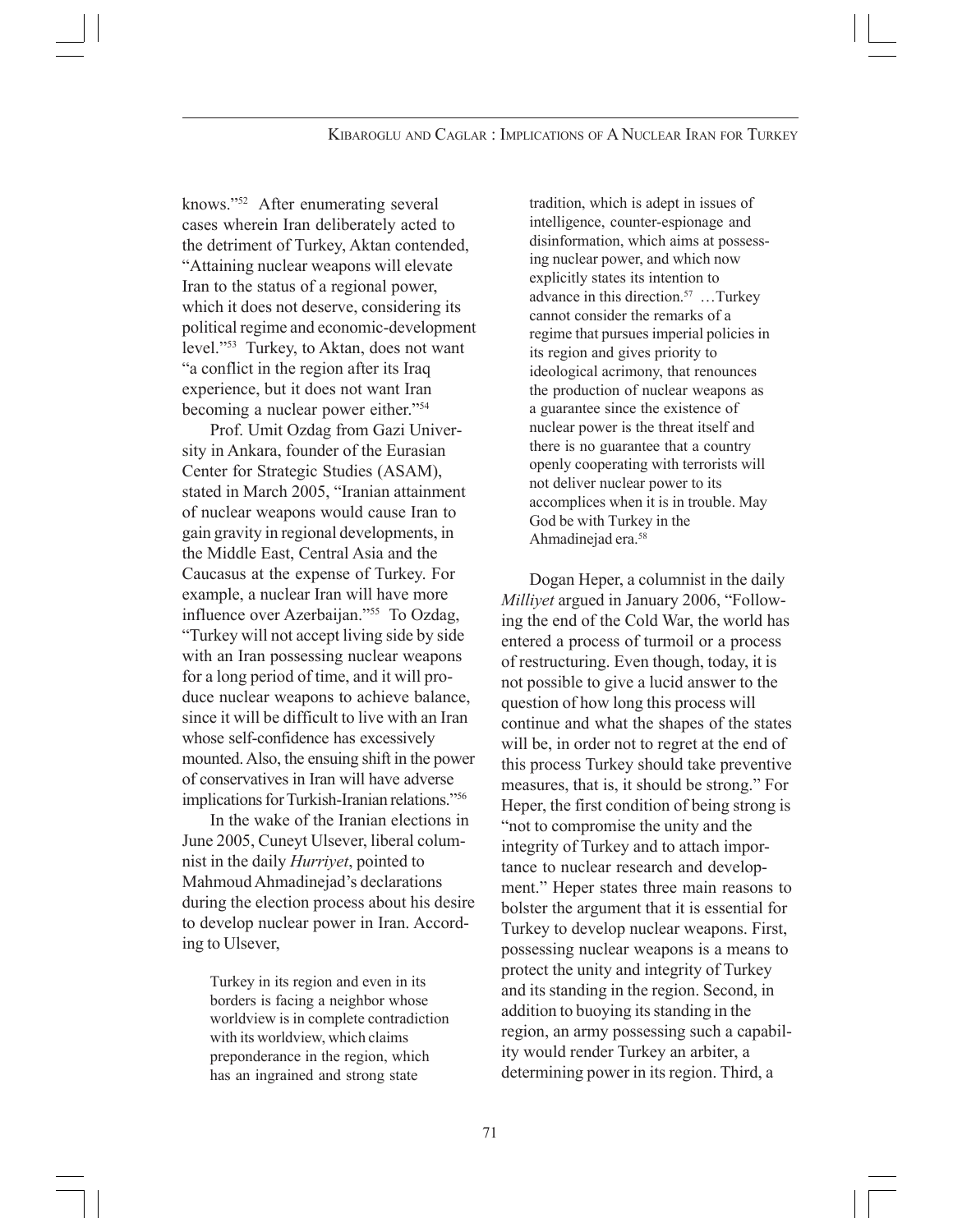knows."52 After enumerating several cases wherein Iran deliberately acted to the detriment of Turkey, Aktan contended, "Attaining nuclear weapons will elevate Iran to the status of a regional power, which it does not deserve, considering its political regime and economic-development level."53 Turkey, to Aktan, does not want "a conflict in the region after its Iraq experience, but it does not want Iran becoming a nuclear power either."54

Prof. Umit Ozdag from Gazi University in Ankara, founder of the Eurasian Center for Strategic Studies (ASAM), stated in March 2005, "Iranian attainment of nuclear weapons would cause Iran to gain gravity in regional developments, in the Middle East, Central Asia and the Caucasus at the expense of Turkey. For example, a nuclear Iran will have more influence over Azerbaijan."55 To Ozdag, "Turkey will not accept living side by side with an Iran possessing nuclear weapons for a long period of time, and it will produce nuclear weapons to achieve balance, since it will be difficult to live with an Iran whose self-confidence has excessively mounted. Also, the ensuing shift in the power of conservatives in Iran will have adverse implications for Turkish-Iranian relations."56

In the wake of the Iranian elections in June 2005, Cuneyt Ulsever, liberal columnist in the daily *Hurriyet*, pointed to Mahmoud Ahmadinejad's declarations during the election process about his desire to develop nuclear power in Iran. According to Ulsever,

Turkey in its region and even in its borders is facing a neighbor whose worldview is in complete contradiction with its worldview, which claims preponderance in the region, which has an ingrained and strong state

tradition, which is adept in issues of intelligence, counter-espionage and disinformation, which aims at possessing nuclear power, and which now explicitly states its intention to advance in this direction.<sup>57</sup> …Turkey cannot consider the remarks of a regime that pursues imperial policies in its region and gives priority to ideological acrimony, that renounces the production of nuclear weapons as a guarantee since the existence of nuclear power is the threat itself and there is no guarantee that a country openly cooperating with terrorists will not deliver nuclear power to its accomplices when it is in trouble. May God be with Turkey in the Ahmadinejad era.58

Dogan Heper, a columnist in the daily *Milliyet* argued in January 2006, "Following the end of the Cold War, the world has entered a process of turmoil or a process of restructuring. Even though, today, it is not possible to give a lucid answer to the question of how long this process will continue and what the shapes of the states will be, in order not to regret at the end of this process Turkey should take preventive measures, that is, it should be strong." For Heper, the first condition of being strong is "not to compromise the unity and the integrity of Turkey and to attach importance to nuclear research and development." Heper states three main reasons to bolster the argument that it is essential for Turkey to develop nuclear weapons. First, possessing nuclear weapons is a means to protect the unity and integrity of Turkey and its standing in the region. Second, in addition to buoying its standing in the region, an army possessing such a capability would render Turkey an arbiter, a determining power in its region. Third, a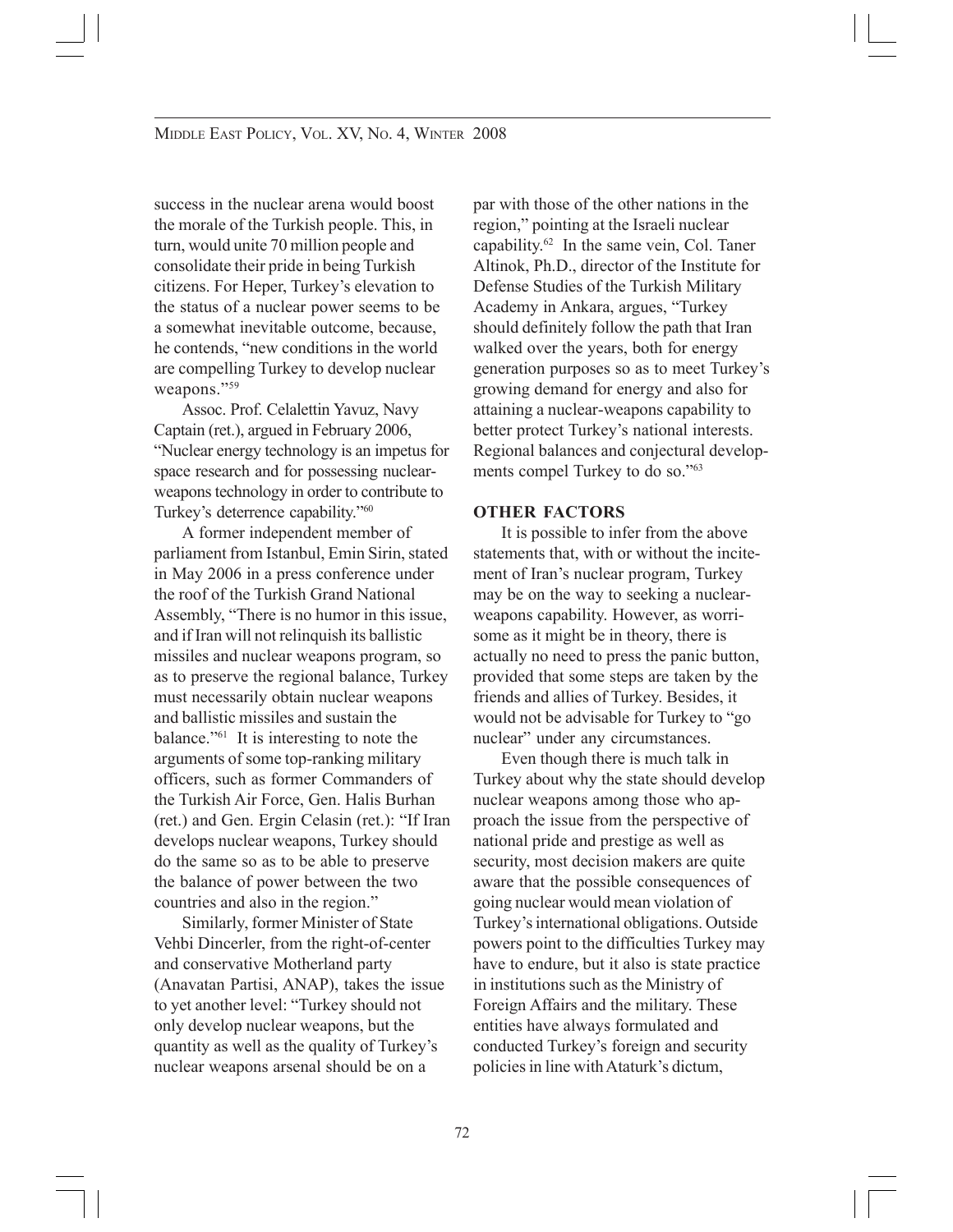success in the nuclear arena would boost the morale of the Turkish people. This, in turn, would unite 70 million people and consolidate their pride in being Turkish citizens. For Heper, Turkey's elevation to the status of a nuclear power seems to be a somewhat inevitable outcome, because, he contends, "new conditions in the world are compelling Turkey to develop nuclear weapons."59

Assoc. Prof. Celalettin Yavuz, Navy Captain (ret.), argued in February 2006, "Nuclear energy technology is an impetus for space research and for possessing nuclearweapons technology in order to contribute to Turkey's deterrence capability."60

A former independent member of parliament from Istanbul, Emin Sirin, stated in May 2006 in a press conference under the roof of the Turkish Grand National Assembly, "There is no humor in this issue, and if Iran will not relinquish its ballistic missiles and nuclear weapons program, so as to preserve the regional balance, Turkey must necessarily obtain nuclear weapons and ballistic missiles and sustain the balance."<sup>61</sup> It is interesting to note the arguments of some top-ranking military officers, such as former Commanders of the Turkish Air Force, Gen. Halis Burhan (ret.) and Gen. Ergin Celasin (ret.): "If Iran develops nuclear weapons, Turkey should do the same so as to be able to preserve the balance of power between the two countries and also in the region."

Similarly, former Minister of State Vehbi Dincerler, from the right-of-center and conservative Motherland party (Anavatan Partisi, ANAP), takes the issue to yet another level: "Turkey should not only develop nuclear weapons, but the quantity as well as the quality of Turkey's nuclear weapons arsenal should be on a

par with those of the other nations in the region," pointing at the Israeli nuclear capability.62 In the same vein, Col. Taner Altinok, Ph.D., director of the Institute for Defense Studies of the Turkish Military Academy in Ankara, argues, "Turkey should definitely follow the path that Iran walked over the years, both for energy generation purposes so as to meet Turkey's growing demand for energy and also for attaining a nuclear-weapons capability to better protect Turkey's national interests. Regional balances and conjectural developments compel Turkey to do so."63

## **OTHER FACTORS**

It is possible to infer from the above statements that, with or without the incitement of Iran's nuclear program, Turkey may be on the way to seeking a nuclearweapons capability. However, as worrisome as it might be in theory, there is actually no need to press the panic button, provided that some steps are taken by the friends and allies of Turkey. Besides, it would not be advisable for Turkey to "go nuclear" under any circumstances.

Even though there is much talk in Turkey about why the state should develop nuclear weapons among those who approach the issue from the perspective of national pride and prestige as well as security, most decision makers are quite aware that the possible consequences of going nuclear would mean violation of Turkey's international obligations. Outside powers point to the difficulties Turkey may have to endure, but it also is state practice in institutions such as the Ministry of Foreign Affairs and the military. These entities have always formulated and conducted Turkey's foreign and security policies in line with Ataturk's dictum,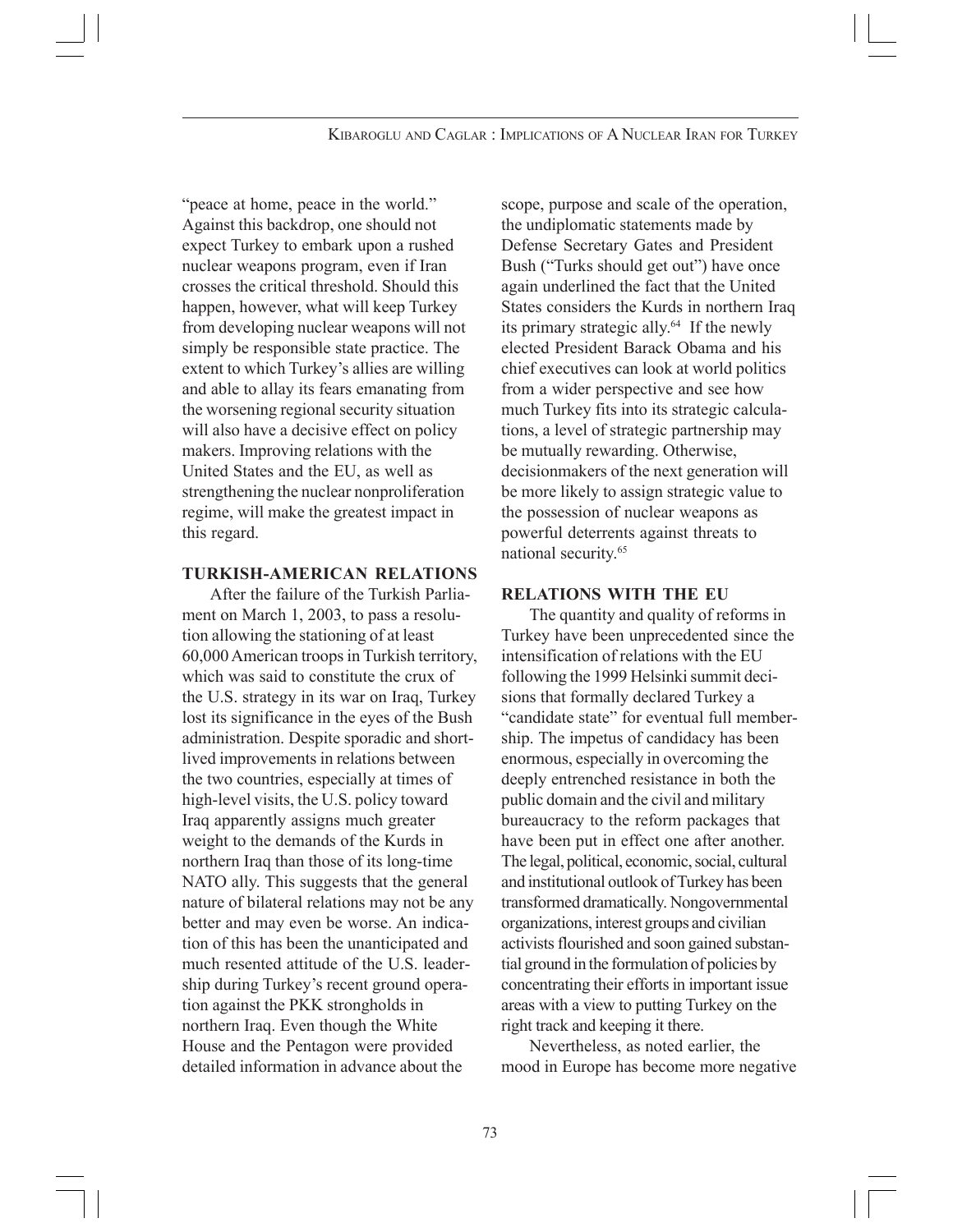KIBAROGLU AND CAGLAR : IMPLICATIONS OF A NUCLEAR IRAN FOR TURKEY

"peace at home, peace in the world." Against this backdrop, one should not expect Turkey to embark upon a rushed nuclear weapons program, even if Iran crosses the critical threshold. Should this happen, however, what will keep Turkey from developing nuclear weapons will not simply be responsible state practice. The extent to which Turkey's allies are willing and able to allay its fears emanating from the worsening regional security situation will also have a decisive effect on policy makers. Improving relations with the United States and the EU, as well as strengthening the nuclear nonproliferation regime, will make the greatest impact in this regard.

# **TURKISH-AMERICAN RELATIONS**

After the failure of the Turkish Parliament on March 1, 2003, to pass a resolution allowing the stationing of at least 60,000 American troops in Turkish territory, which was said to constitute the crux of the U.S. strategy in its war on Iraq, Turkey lost its significance in the eyes of the Bush administration. Despite sporadic and shortlived improvements in relations between the two countries, especially at times of high-level visits, the U.S. policy toward Iraq apparently assigns much greater weight to the demands of the Kurds in northern Iraq than those of its long-time NATO ally. This suggests that the general nature of bilateral relations may not be any better and may even be worse. An indication of this has been the unanticipated and much resented attitude of the U.S. leadership during Turkey's recent ground operation against the PKK strongholds in northern Iraq. Even though the White House and the Pentagon were provided detailed information in advance about the

scope, purpose and scale of the operation, the undiplomatic statements made by Defense Secretary Gates and President Bush ("Turks should get out") have once again underlined the fact that the United States considers the Kurds in northern Iraq its primary strategic ally. $64$  If the newly elected President Barack Obama and his chief executives can look at world politics from a wider perspective and see how much Turkey fits into its strategic calculations, a level of strategic partnership may be mutually rewarding. Otherwise, decisionmakers of the next generation will be more likely to assign strategic value to the possession of nuclear weapons as powerful deterrents against threats to national security.65

# **RELATIONS WITH THE EU**

The quantity and quality of reforms in Turkey have been unprecedented since the intensification of relations with the EU following the 1999 Helsinki summit decisions that formally declared Turkey a "candidate state" for eventual full membership. The impetus of candidacy has been enormous, especially in overcoming the deeply entrenched resistance in both the public domain and the civil and military bureaucracy to the reform packages that have been put in effect one after another. The legal, political, economic, social, cultural and institutional outlook of Turkey has been transformed dramatically. Nongovernmental organizations, interest groups and civilian activists flourished and soon gained substantial ground in the formulation of policies by concentrating their efforts in important issue areas with a view to putting Turkey on the right track and keeping it there.

Nevertheless, as noted earlier, the mood in Europe has become more negative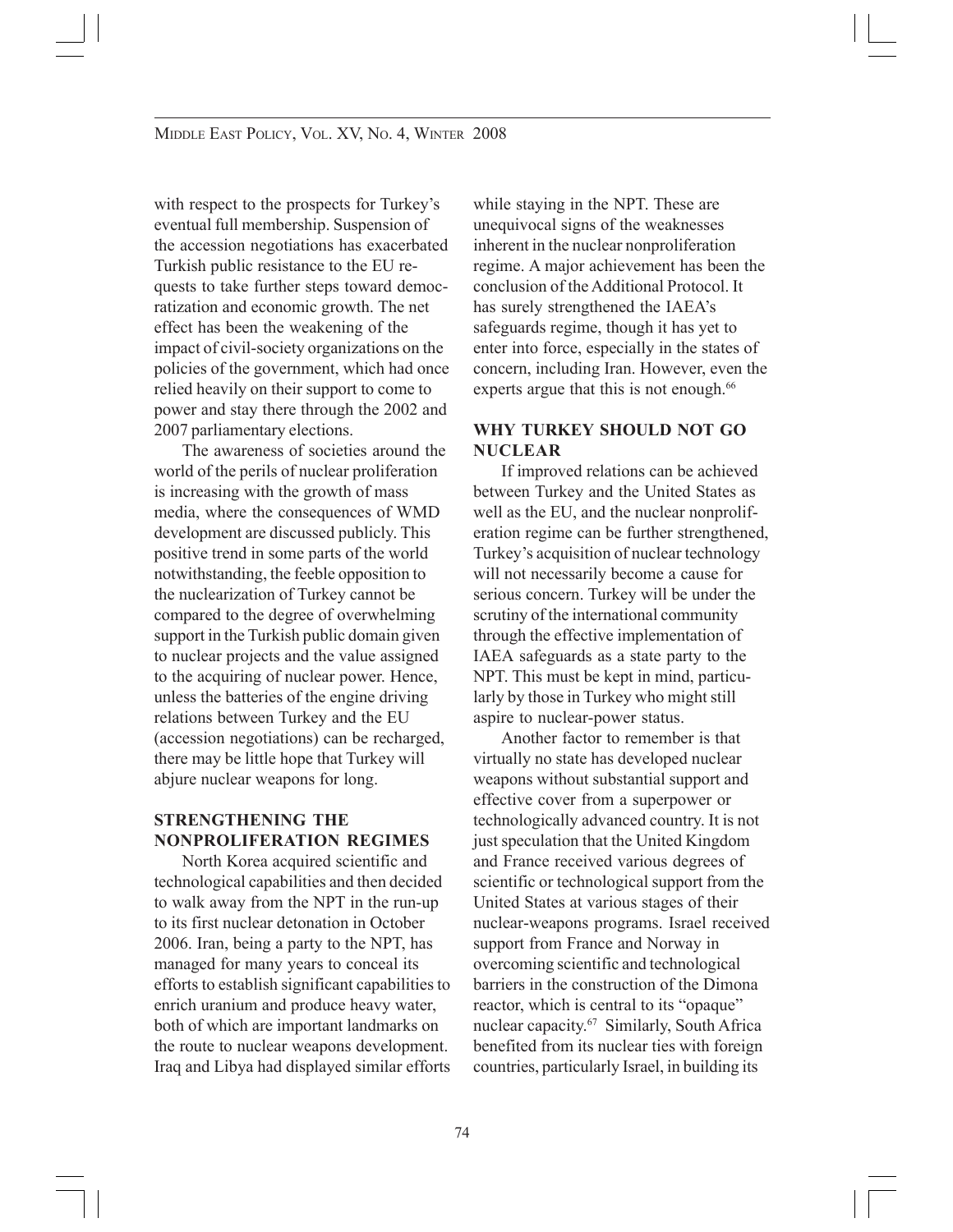with respect to the prospects for Turkey's eventual full membership. Suspension of the accession negotiations has exacerbated Turkish public resistance to the EU requests to take further steps toward democratization and economic growth. The net effect has been the weakening of the impact of civil-society organizations on the policies of the government, which had once relied heavily on their support to come to power and stay there through the 2002 and 2007 parliamentary elections.

The awareness of societies around the world of the perils of nuclear proliferation is increasing with the growth of mass media, where the consequences of WMD development are discussed publicly. This positive trend in some parts of the world notwithstanding, the feeble opposition to the nuclearization of Turkey cannot be compared to the degree of overwhelming support in the Turkish public domain given to nuclear projects and the value assigned to the acquiring of nuclear power. Hence, unless the batteries of the engine driving relations between Turkey and the EU (accession negotiations) can be recharged, there may be little hope that Turkey will abjure nuclear weapons for long.

# **STRENGTHENING THE NONPROLIFERATION REGIMES**

North Korea acquired scientific and technological capabilities and then decided to walk away from the NPT in the run-up to its first nuclear detonation in October 2006. Iran, being a party to the NPT, has managed for many years to conceal its efforts to establish significant capabilities to enrich uranium and produce heavy water, both of which are important landmarks on the route to nuclear weapons development. Iraq and Libya had displayed similar efforts

while staying in the NPT. These are unequivocal signs of the weaknesses inherent in the nuclear nonproliferation regime. A major achievement has been the conclusion of the Additional Protocol. It has surely strengthened the IAEA's safeguards regime, though it has yet to enter into force, especially in the states of concern, including Iran. However, even the experts argue that this is not enough.<sup>66</sup>

# **WHY TURKEY SHOULD NOT GO NUCLEAR**

If improved relations can be achieved between Turkey and the United States as well as the EU, and the nuclear nonproliferation regime can be further strengthened, Turkey's acquisition of nuclear technology will not necessarily become a cause for serious concern. Turkey will be under the scrutiny of the international community through the effective implementation of IAEA safeguards as a state party to the NPT. This must be kept in mind, particularly by those in Turkey who might still aspire to nuclear-power status.

Another factor to remember is that virtually no state has developed nuclear weapons without substantial support and effective cover from a superpower or technologically advanced country. It is not just speculation that the United Kingdom and France received various degrees of scientific or technological support from the United States at various stages of their nuclear-weapons programs. Israel received support from France and Norway in overcoming scientific and technological barriers in the construction of the Dimona reactor, which is central to its "opaque" nuclear capacity.67 Similarly, South Africa benefited from its nuclear ties with foreign countries, particularly Israel, in building its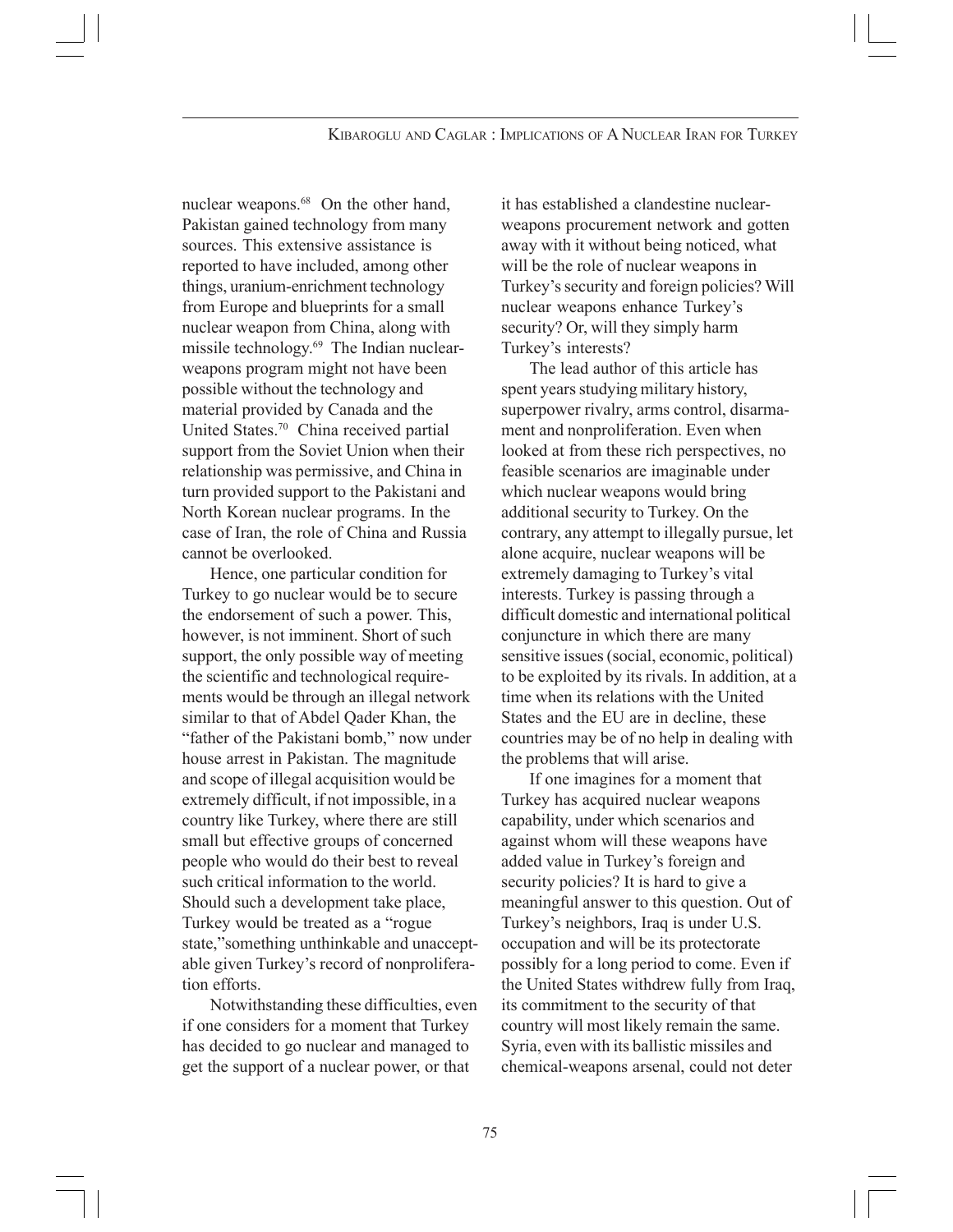nuclear weapons.<sup>68</sup> On the other hand, Pakistan gained technology from many sources. This extensive assistance is reported to have included, among other things, uranium-enrichment technology from Europe and blueprints for a small nuclear weapon from China, along with missile technology.<sup>69</sup> The Indian nuclearweapons program might not have been possible without the technology and material provided by Canada and the United States.70 China received partial support from the Soviet Union when their relationship was permissive, and China in turn provided support to the Pakistani and North Korean nuclear programs. In the case of Iran, the role of China and Russia cannot be overlooked.

Hence, one particular condition for Turkey to go nuclear would be to secure the endorsement of such a power. This, however, is not imminent. Short of such support, the only possible way of meeting the scientific and technological requirements would be through an illegal network similar to that of Abdel Qader Khan, the "father of the Pakistani bomb," now under house arrest in Pakistan. The magnitude and scope of illegal acquisition would be extremely difficult, if not impossible, in a country like Turkey, where there are still small but effective groups of concerned people who would do their best to reveal such critical information to the world. Should such a development take place, Turkey would be treated as a "rogue state,"something unthinkable and unacceptable given Turkey's record of nonproliferation efforts.

Notwithstanding these difficulties, even if one considers for a moment that Turkey has decided to go nuclear and managed to get the support of a nuclear power, or that

it has established a clandestine nuclearweapons procurement network and gotten away with it without being noticed, what will be the role of nuclear weapons in Turkey's security and foreign policies? Will nuclear weapons enhance Turkey's security? Or, will they simply harm Turkey's interests?

The lead author of this article has spent years studying military history, superpower rivalry, arms control, disarmament and nonproliferation. Even when looked at from these rich perspectives, no feasible scenarios are imaginable under which nuclear weapons would bring additional security to Turkey. On the contrary, any attempt to illegally pursue, let alone acquire, nuclear weapons will be extremely damaging to Turkey's vital interests. Turkey is passing through a difficult domestic and international political conjuncture in which there are many sensitive issues (social, economic, political) to be exploited by its rivals. In addition, at a time when its relations with the United States and the EU are in decline, these countries may be of no help in dealing with the problems that will arise.

If one imagines for a moment that Turkey has acquired nuclear weapons capability, under which scenarios and against whom will these weapons have added value in Turkey's foreign and security policies? It is hard to give a meaningful answer to this question. Out of Turkey's neighbors, Iraq is under U.S. occupation and will be its protectorate possibly for a long period to come. Even if the United States withdrew fully from Iraq, its commitment to the security of that country will most likely remain the same. Syria, even with its ballistic missiles and chemical-weapons arsenal, could not deter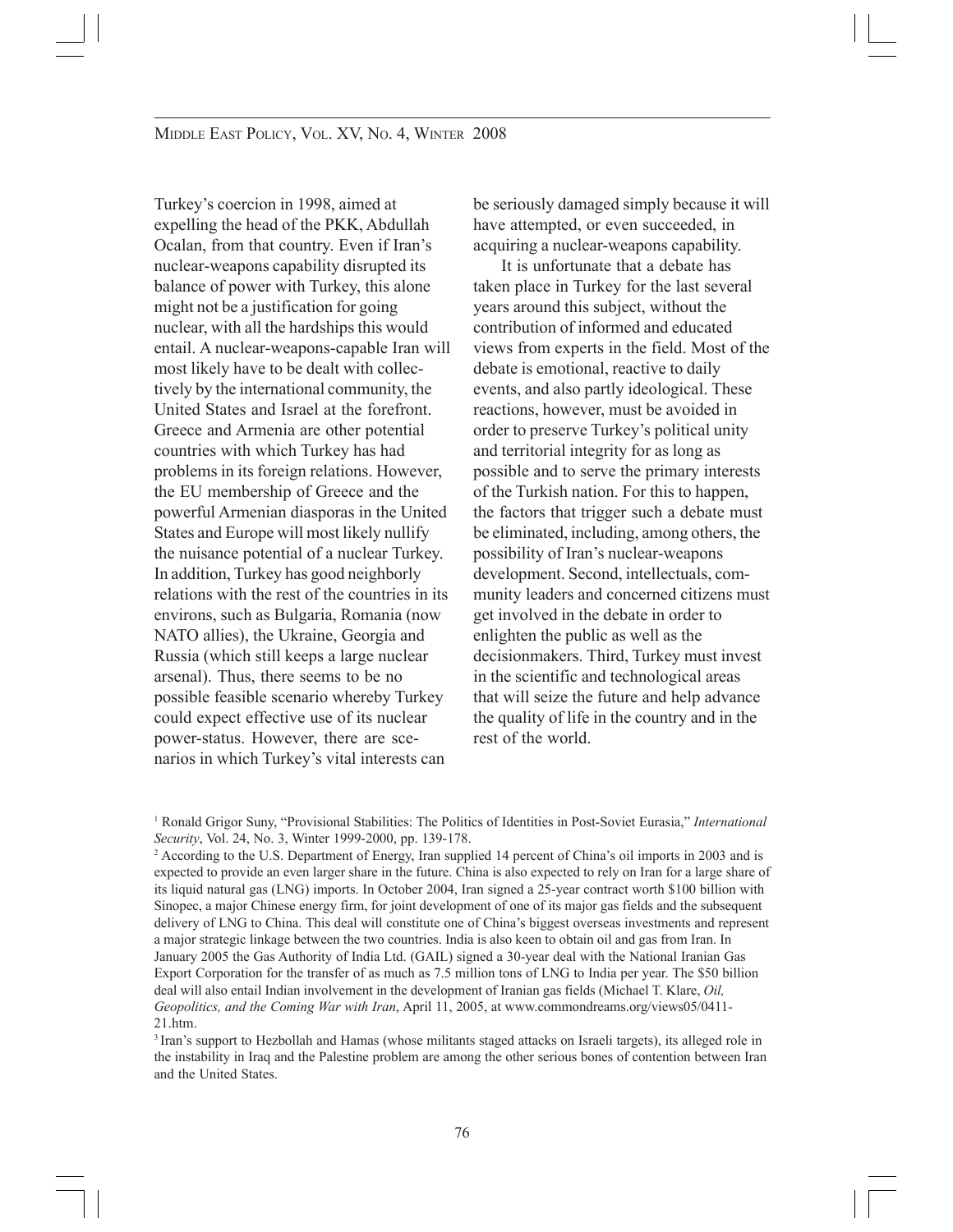Turkey's coercion in 1998, aimed at expelling the head of the PKK, Abdullah Ocalan, from that country. Even if Iran's nuclear-weapons capability disrupted its balance of power with Turkey, this alone might not be a justification for going nuclear, with all the hardships this would entail. A nuclear-weapons-capable Iran will most likely have to be dealt with collectively by the international community, the United States and Israel at the forefront. Greece and Armenia are other potential countries with which Turkey has had problems in its foreign relations. However, the EU membership of Greece and the powerful Armenian diasporas in the United States and Europe will most likely nullify the nuisance potential of a nuclear Turkey. In addition, Turkey has good neighborly relations with the rest of the countries in its environs, such as Bulgaria, Romania (now NATO allies), the Ukraine, Georgia and Russia (which still keeps a large nuclear arsenal). Thus, there seems to be no possible feasible scenario whereby Turkey could expect effective use of its nuclear power-status. However, there are scenarios in which Turkey's vital interests can

be seriously damaged simply because it will have attempted, or even succeeded, in acquiring a nuclear-weapons capability.

It is unfortunate that a debate has taken place in Turkey for the last several years around this subject, without the contribution of informed and educated views from experts in the field. Most of the debate is emotional, reactive to daily events, and also partly ideological. These reactions, however, must be avoided in order to preserve Turkey's political unity and territorial integrity for as long as possible and to serve the primary interests of the Turkish nation. For this to happen, the factors that trigger such a debate must be eliminated, including, among others, the possibility of Iran's nuclear-weapons development. Second, intellectuals, community leaders and concerned citizens must get involved in the debate in order to enlighten the public as well as the decisionmakers. Third, Turkey must invest in the scientific and technological areas that will seize the future and help advance the quality of life in the country and in the rest of the world.

<sup>1</sup> Ronald Grigor Suny, "Provisional Stabilities: The Politics of Identities in Post-Soviet Eurasia," *International Security*, Vol. 24, No. 3, Winter 1999-2000, pp. 139-178.

<sup>2</sup> According to the U.S. Department of Energy, Iran supplied 14 percent of China's oil imports in 2003 and is expected to provide an even larger share in the future. China is also expected to rely on Iran for a large share of its liquid natural gas (LNG) imports. In October 2004, Iran signed a 25-year contract worth \$100 billion with Sinopec, a major Chinese energy firm, for joint development of one of its major gas fields and the subsequent delivery of LNG to China. This deal will constitute one of China's biggest overseas investments and represent a major strategic linkage between the two countries. India is also keen to obtain oil and gas from Iran. In January 2005 the Gas Authority of India Ltd. (GAIL) signed a 30-year deal with the National Iranian Gas Export Corporation for the transfer of as much as 7.5 million tons of LNG to India per year. The \$50 billion deal will also entail Indian involvement in the development of Iranian gas fields (Michael T. Klare, *Oil, Geopolitics, and the Coming War with Iran*, April 11, 2005, at www.commondreams.org/views05/0411- 21.htm.

<sup>3</sup> Iran's support to Hezbollah and Hamas (whose militants staged attacks on Israeli targets), its alleged role in the instability in Iraq and the Palestine problem are among the other serious bones of contention between Iran and the United States.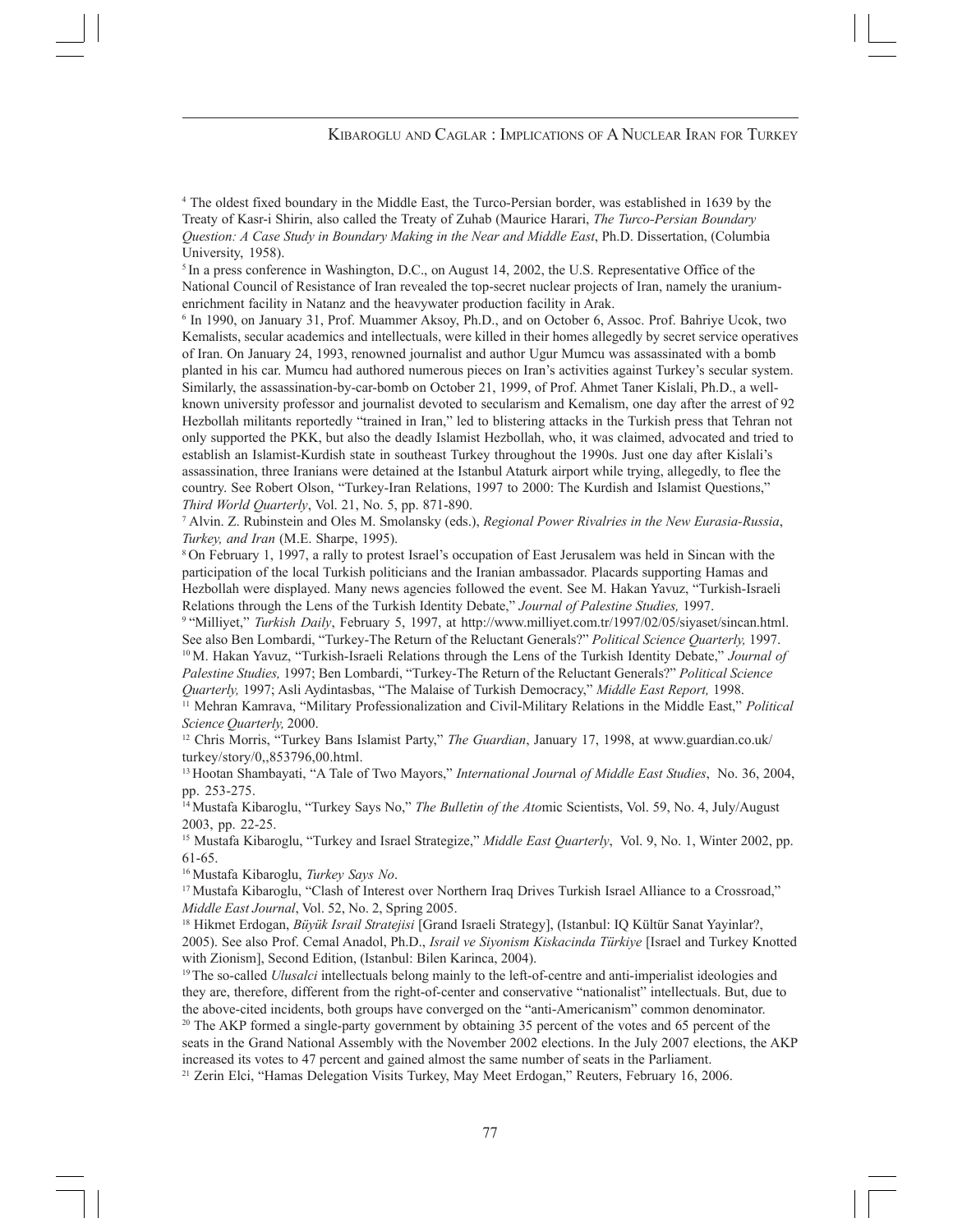KIBAROGLU AND CAGLAR : IMPLICATIONS OF A NUCLEAR IRAN FOR TURKEY

4 The oldest fixed boundary in the Middle East, the Turco-Persian border, was established in 1639 by the Treaty of Kasr-i Shirin, also called the Treaty of Zuhab (Maurice Harari, *The Turco-Persian Boundary Question: A Case Study in Boundary Making in the Near and Middle East*, Ph.D. Dissertation, (Columbia University, 1958).

<sup>5</sup> In a press conference in Washington, D.C., on August 14, 2002, the U.S. Representative Office of the National Council of Resistance of Iran revealed the top-secret nuclear projects of Iran, namely the uraniumenrichment facility in Natanz and the heavywater production facility in Arak.

6 In 1990, on January 31, Prof. Muammer Aksoy, Ph.D., and on October 6, Assoc. Prof. Bahriye Ucok, two Kemalists, secular academics and intellectuals, were killed in their homes allegedly by secret service operatives of Iran. On January 24, 1993, renowned journalist and author Ugur Mumcu was assassinated with a bomb planted in his car. Mumcu had authored numerous pieces on Iran's activities against Turkey's secular system. Similarly, the assassination-by-car-bomb on October 21, 1999, of Prof. Ahmet Taner Kislali, Ph.D., a wellknown university professor and journalist devoted to secularism and Kemalism, one day after the arrest of 92 Hezbollah militants reportedly "trained in Iran," led to blistering attacks in the Turkish press that Tehran not only supported the PKK, but also the deadly Islamist Hezbollah, who, it was claimed, advocated and tried to establish an Islamist-Kurdish state in southeast Turkey throughout the 1990s. Just one day after Kislali's assassination, three Iranians were detained at the Istanbul Ataturk airport while trying, allegedly, to flee the country. See Robert Olson, "Turkey-Iran Relations, 1997 to 2000: The Kurdish and Islamist Questions," *Third World Quarterly*, Vol. 21, No. 5, pp. 871-890.

7 Alvin. Z. Rubinstein and Oles M. Smolansky (eds.), *Regional Power Rivalries in the New Eurasia-Russia*, *Turkey, and Iran* (M.E. Sharpe, 1995).

8 On February 1, 1997, a rally to protest Israel's occupation of East Jerusalem was held in Sincan with the participation of the local Turkish politicians and the Iranian ambassador. Placards supporting Hamas and Hezbollah were displayed. Many news agencies followed the event. See M. Hakan Yavuz, "Turkish-Israeli Relations through the Lens of the Turkish Identity Debate," *Journal of Palestine Studies,* 1997.

<sup>9</sup> "Milliyet," *Turkish Daily*, February 5, 1997, at http://www.milliyet.com.tr/1997/02/05/siyaset/sincan.html. See also Ben Lombardi, "Turkey-The Return of the Reluctant Generals?" *Political Science Quarterly,* 1997. 10 M. Hakan Yavuz, "Turkish-Israeli Relations through the Lens of the Turkish Identity Debate," *Journal of Palestine Studies,* 1997; Ben Lombardi, "Turkey-The Return of the Reluctant Generals?" *Political Science Quarterly,* 1997; Asli Aydintasbas, "The Malaise of Turkish Democracy," *Middle East Report,* 1998. 11 Mehran Kamrava, "Military Professionalization and Civil-Military Relations in the Middle East," *Political Science Quarterly,* 2000.

12 Chris Morris, "Turkey Bans Islamist Party," *The Guardian*, January 17, 1998, at www.guardian.co.uk/ turkey/story/0,,853796,00.html.

13 Hootan Shambayati, "A Tale of Two Mayors," *International Journa*l *of Middle East Studies*, No. 36, 2004, pp. 253-275.

14 Mustafa Kibaroglu, "Turkey Says No," *The Bulletin of the Ato*mic Scientists, Vol. 59, No. 4, July/August 2003, pp. 22-25.

15 Mustafa Kibaroglu, "Turkey and Israel Strategize," *Middle East Quarterly*, Vol. 9, No. 1, Winter 2002, pp. 61-65.

16 Mustafa Kibaroglu, *Turkey Says No*.

17 Mustafa Kibaroglu, "Clash of Interest over Northern Iraq Drives Turkish Israel Alliance to a Crossroad," *Middle East Journal*, Vol. 52, No. 2, Spring 2005.

18 Hikmet Erdogan, *Büyük Israil Stratejisi* [Grand Israeli Strategy], (Istanbul: IQ Kültür Sanat Yayinlar?, 2005). See also Prof. Cemal Anadol, Ph.D., *Israil ve Siyonism Kiskacinda Türkiye* [Israel and Turkey Knotted with Zionism], Second Edition, (Istanbul: Bilen Karinca, 2004).

<sup>19</sup> The so-called *Ulusalci* intellectuals belong mainly to the left-of-centre and anti-imperialist ideologies and they are, therefore, different from the right-of-center and conservative "nationalist" intellectuals. But, due to the above-cited incidents, both groups have converged on the "anti-Americanism" common denominator.

<sup>20</sup> The AKP formed a single-party government by obtaining 35 percent of the votes and 65 percent of the seats in the Grand National Assembly with the November 2002 elections. In the July 2007 elections, the AKP increased its votes to 47 percent and gained almost the same number of seats in the Parliament.

21 Zerin Elci, "Hamas Delegation Visits Turkey, May Meet Erdogan," Reuters, February 16, 2006.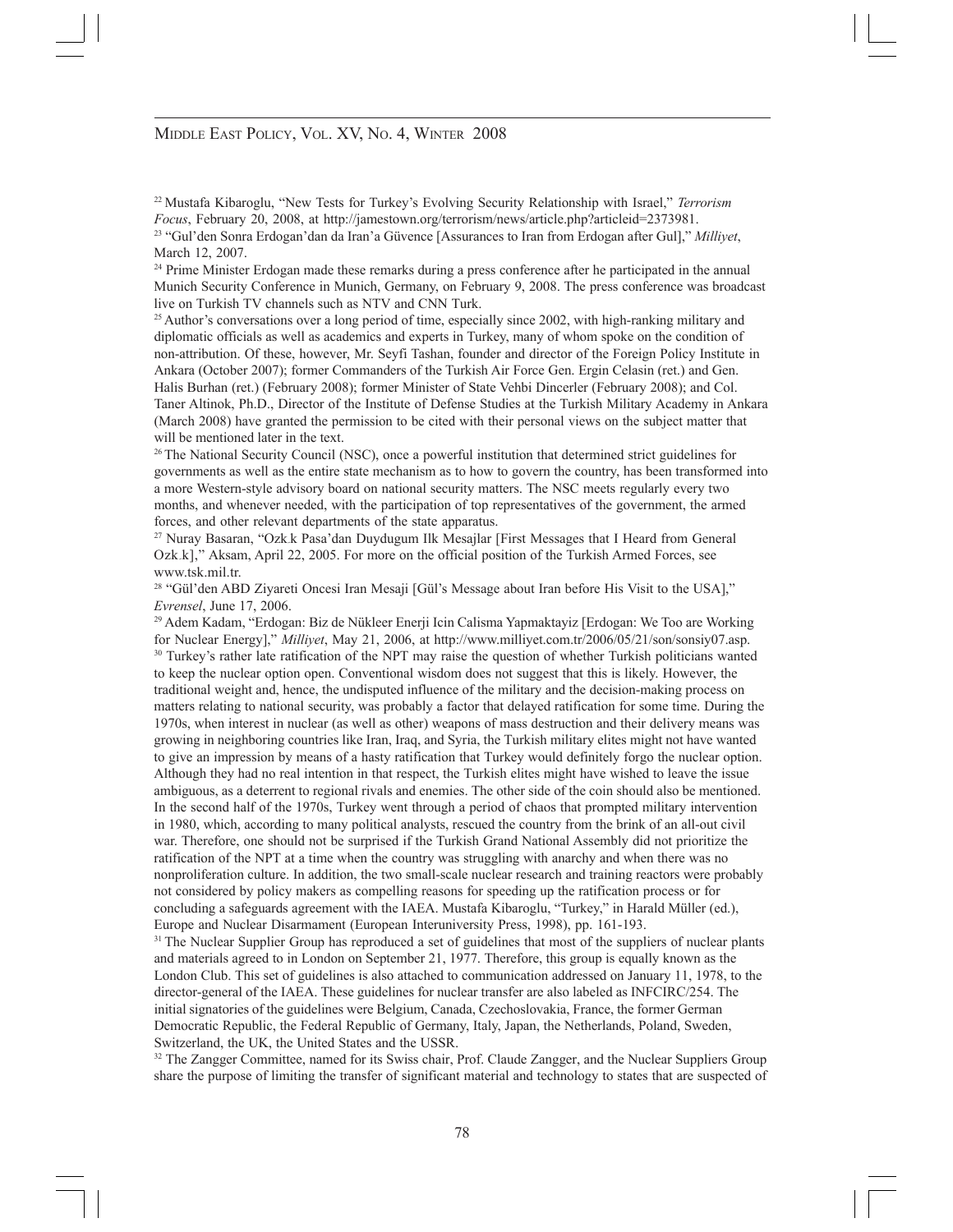#### MIDDLE EAST POLICY, VOL. XV, NO. 4, WINTER 2008

22 Mustafa Kibaroglu, "New Tests for Turkey's Evolving Security Relationship with Israel," *Terrorism Focus*, February 20, 2008, at http://jamestown.org/terrorism/news/article.php?articleid=2373981. 23 "Gul'den Sonra Erdogan'dan da Iran'a Güvence [Assurances to Iran from Erdogan after Gul]," *Milliyet*, March 12, 2007.

<sup>24</sup> Prime Minister Erdogan made these remarks during a press conference after he participated in the annual Munich Security Conference in Munich, Germany, on February 9, 2008. The press conference was broadcast live on Turkish TV channels such as NTV and CNN Turk.

<sup>25</sup> Author's conversations over a long period of time, especially since 2002, with high-ranking military and diplomatic officials as well as academics and experts in Turkey, many of whom spoke on the condition of non-attribution. Of these, however, Mr. Seyfi Tashan, founder and director of the Foreign Policy Institute in Ankara (October 2007); former Commanders of the Turkish Air Force Gen. Ergin Celasin (ret.) and Gen. Halis Burhan (ret.) (February 2008); former Minister of State Vehbi Dincerler (February 2008); and Col. Taner Altinok, Ph.D., Director of the Institute of Defense Studies at the Turkish Military Academy in Ankara (March 2008) have granted the permission to be cited with their personal views on the subject matter that will be mentioned later in the text.

<sup>26</sup> The National Security Council (NSC), once a powerful institution that determined strict guidelines for governments as well as the entire state mechanism as to how to govern the country, has been transformed into a more Western-style advisory board on national security matters. The NSC meets regularly every two months, and whenever needed, with the participation of top representatives of the government, the armed forces, and other relevant departments of the state apparatus.

<sup>27</sup> Nuray Basaran, "Ozk.k Pasa'dan Duydugum Ilk Mesajlar [First Messages that I Heard from General Ozk.k]," Aksam, April 22, 2005. For more on the official position of the Turkish Armed Forces, see www.tsk.mil.tr.

<sup>28</sup> "Gül'den ABD Ziyareti Oncesi Iran Mesaji [Gül's Message about Iran before His Visit to the USA]," *Evrensel*, June 17, 2006.

29 Adem Kadam, "Erdogan: Biz de Nükleer Enerji Icin Calisma Yapmaktayiz [Erdogan: We Too are Working for Nuclear Energy]," *Milliyet*, May 21, 2006, at http://www.milliyet.com.tr/2006/05/21/son/sonsiy07.asp. <sup>30</sup> Turkey's rather late ratification of the NPT may raise the question of whether Turkish politicians wanted to keep the nuclear option open. Conventional wisdom does not suggest that this is likely. However, the traditional weight and, hence, the undisputed influence of the military and the decision-making process on matters relating to national security, was probably a factor that delayed ratification for some time. During the 1970s, when interest in nuclear (as well as other) weapons of mass destruction and their delivery means was growing in neighboring countries like Iran, Iraq, and Syria, the Turkish military elites might not have wanted to give an impression by means of a hasty ratification that Turkey would definitely forgo the nuclear option. Although they had no real intention in that respect, the Turkish elites might have wished to leave the issue ambiguous, as a deterrent to regional rivals and enemies. The other side of the coin should also be mentioned. In the second half of the 1970s, Turkey went through a period of chaos that prompted military intervention in 1980, which, according to many political analysts, rescued the country from the brink of an all-out civil war. Therefore, one should not be surprised if the Turkish Grand National Assembly did not prioritize the ratification of the NPT at a time when the country was struggling with anarchy and when there was no nonproliferation culture. In addition, the two small-scale nuclear research and training reactors were probably not considered by policy makers as compelling reasons for speeding up the ratification process or for concluding a safeguards agreement with the IAEA. Mustafa Kibaroglu, "Turkey," in Harald Müller (ed.), Europe and Nuclear Disarmament (European Interuniversity Press, 1998), pp. 161-193.

<sup>31</sup> The Nuclear Supplier Group has reproduced a set of guidelines that most of the suppliers of nuclear plants and materials agreed to in London on September 21, 1977. Therefore, this group is equally known as the London Club. This set of guidelines is also attached to communication addressed on January 11, 1978, to the director-general of the IAEA. These guidelines for nuclear transfer are also labeled as INFCIRC/254. The initial signatories of the guidelines were Belgium, Canada, Czechoslovakia, France, the former German Democratic Republic, the Federal Republic of Germany, Italy, Japan, the Netherlands, Poland, Sweden, Switzerland, the UK, the United States and the USSR.

<sup>32</sup> The Zangger Committee, named for its Swiss chair, Prof. Claude Zangger, and the Nuclear Suppliers Group share the purpose of limiting the transfer of significant material and technology to states that are suspected of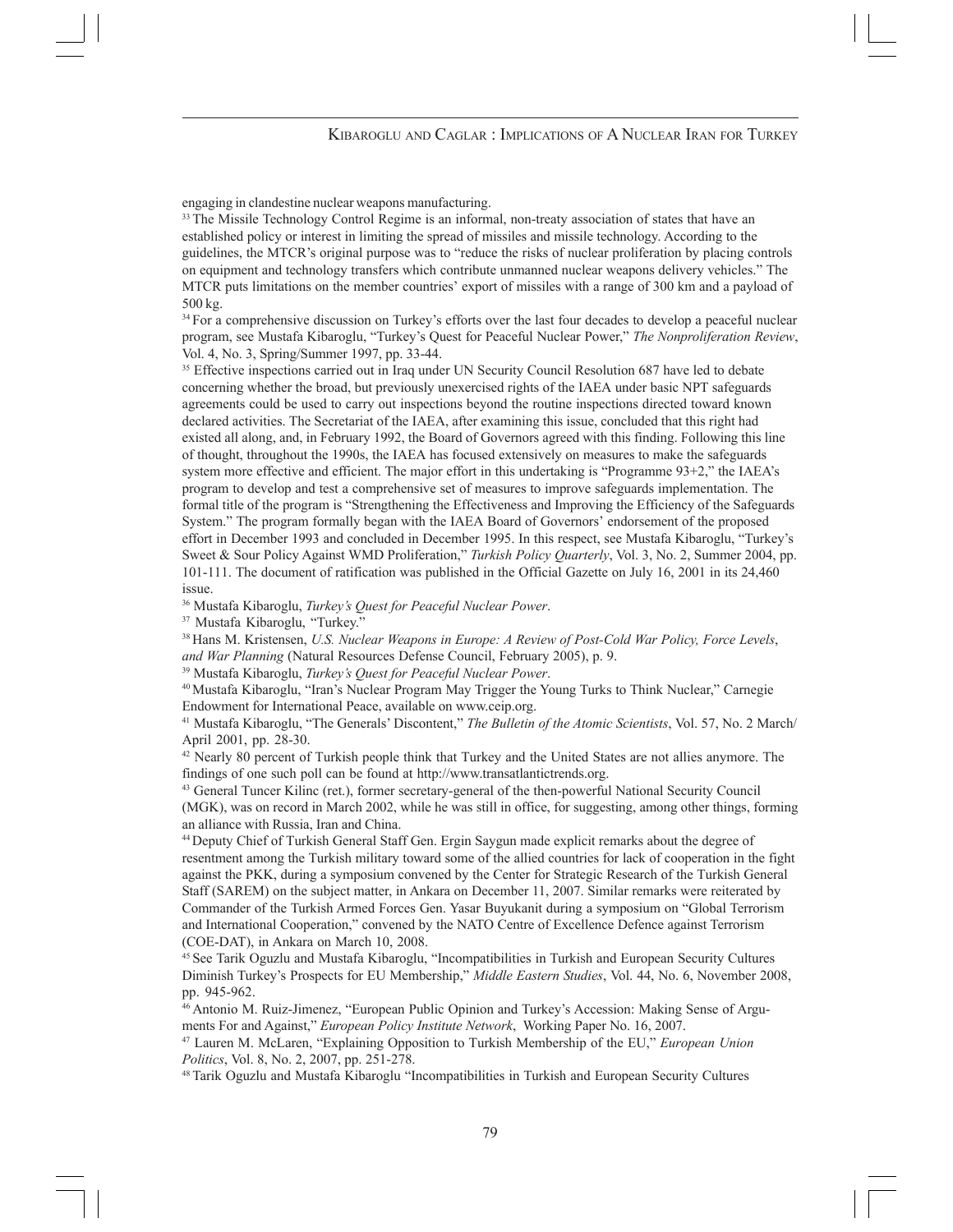KIBAROGLU AND CAGLAR : IMPLICATIONS OF A NUCLEAR IRAN FOR TURKEY

engaging in clandestine nuclear weapons manufacturing.

<sup>33</sup> The Missile Technology Control Regime is an informal, non-treaty association of states that have an established policy or interest in limiting the spread of missiles and missile technology. According to the guidelines, the MTCR's original purpose was to "reduce the risks of nuclear proliferation by placing controls on equipment and technology transfers which contribute unmanned nuclear weapons delivery vehicles." The MTCR puts limitations on the member countries' export of missiles with a range of 300 km and a payload of 500 kg.

<sup>34</sup> For a comprehensive discussion on Turkey's efforts over the last four decades to develop a peaceful nuclear program, see Mustafa Kibaroglu, "Turkey's Quest for Peaceful Nuclear Power," *The Nonproliferation Review*, Vol. 4, No. 3, Spring/Summer 1997, pp. 33-44.

<sup>35</sup> Effective inspections carried out in Iraq under UN Security Council Resolution 687 have led to debate concerning whether the broad, but previously unexercised rights of the IAEA under basic NPT safeguards agreements could be used to carry out inspections beyond the routine inspections directed toward known declared activities. The Secretariat of the IAEA, after examining this issue, concluded that this right had existed all along, and, in February 1992, the Board of Governors agreed with this finding. Following this line of thought, throughout the 1990s, the IAEA has focused extensively on measures to make the safeguards system more effective and efficient. The major effort in this undertaking is "Programme 93+2," the IAEA's program to develop and test a comprehensive set of measures to improve safeguards implementation. The formal title of the program is "Strengthening the Effectiveness and Improving the Efficiency of the Safeguards System." The program formally began with the IAEA Board of Governors' endorsement of the proposed effort in December 1993 and concluded in December 1995. In this respect, see Mustafa Kibaroglu, "Turkey's Sweet & Sour Policy Against WMD Proliferation," *Turkish Policy Quarterly*, Vol. 3, No. 2, Summer 2004, pp. 101-111. The document of ratification was published in the Official Gazette on July 16, 2001 in its 24,460 issue.

36 Mustafa Kibaroglu, *Turkey's Quest for Peaceful Nuclear Power*.

37 Mustafa Kibaroglu, "Turkey."

38 Hans M. Kristensen, *U.S. Nuclear Weapons in Europe: A Review of Post-Cold War Policy, Force Levels*, *and War Planning* (Natural Resources Defense Council, February 2005), p. 9.

39 Mustafa Kibaroglu, *Turkey's Quest for Peaceful Nuclear Power*.

40 Mustafa Kibaroglu, "Iran's Nuclear Program May Trigger the Young Turks to Think Nuclear," Carnegie Endowment for International Peace, available on www.ceip.org.

41 Mustafa Kibaroglu, "The Generals' Discontent," *The Bulletin of the Atomic Scientists*, Vol. 57, No. 2 March/ April 2001, pp. 28-30.

42 Nearly 80 percent of Turkish people think that Turkey and the United States are not allies anymore. The findings of one such poll can be found at http://www.transatlantictrends.org.

43 General Tuncer Kilinc (ret.), former secretary-general of the then-powerful National Security Council (MGK), was on record in March 2002, while he was still in office, for suggesting, among other things, forming an alliance with Russia, Iran and China.

44 Deputy Chief of Turkish General Staff Gen. Ergin Saygun made explicit remarks about the degree of resentment among the Turkish military toward some of the allied countries for lack of cooperation in the fight against the PKK, during a symposium convened by the Center for Strategic Research of the Turkish General Staff (SAREM) on the subject matter, in Ankara on December 11, 2007. Similar remarks were reiterated by Commander of the Turkish Armed Forces Gen. Yasar Buyukanit during a symposium on "Global Terrorism and International Cooperation," convened by the NATO Centre of Excellence Defence against Terrorism (COE-DAT), in Ankara on March 10, 2008.

45 See Tarik Oguzlu and Mustafa Kibaroglu, "Incompatibilities in Turkish and European Security Cultures Diminish Turkey's Prospects for EU Membership," *Middle Eastern Studies*, Vol. 44, No. 6, November 2008, pp. 945-962.

46 Antonio M. Ruiz-Jimenez, "European Public Opinion and Turkey's Accession: Making Sense of Arguments For and Against," *European Policy Institute Network*, Working Paper No. 16, 2007.

47 Lauren M. McLaren, "Explaining Opposition to Turkish Membership of the EU," *European Union Politics*, Vol. 8, No. 2, 2007, pp. 251-278.

48 Tarik Oguzlu and Mustafa Kibaroglu "Incompatibilities in Turkish and European Security Cultures